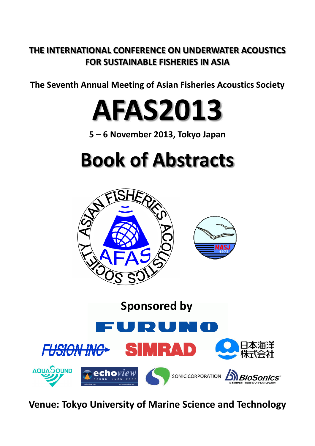## **THE INTERNATIONAL CONFERENCE ON UNDERWATER ACOUSTICS FOR SUSTAINABLE FISHERIES IN ASIA**

**The Seventh Annual Meeting of Asian Fisheries Acoustics Society The Seventh Annual Meeting of Asian Fisheries Acoustics**

**AFAS2013**

**5 – 6 November 2013, Tokyo Japan**

# **Book of Abstracts**





**Venue: Tokyo University of Marine Science and Technology**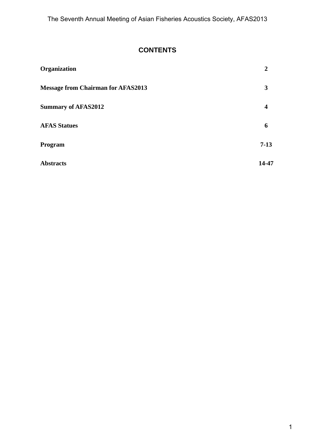## **CONTENTS**

| Organization                              | 2      |
|-------------------------------------------|--------|
| <b>Message from Chairman for AFAS2013</b> | 3      |
| <b>Summary of AFAS2012</b>                | 4      |
| <b>AFAS Statues</b>                       | 6      |
| Program                                   | $7-13$ |
| <b>Abstracts</b>                          | 14-47  |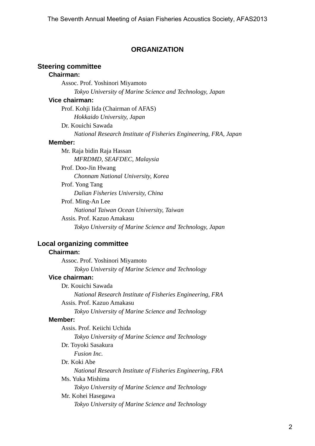### **ORGANIZATION**

## **Steering committee**

## **Chairman:**

 Assoc. Prof. Yoshinori Miyamoto *Tokyo University of Marine Science and Technology, Japan* 

#### **Vice chairman:**

 Prof. Kohji Iida (Chairman of AFAS) *Hokkaido University, Japan*

Dr. Kouichi Sawada

*National Research Institute of Fisheries Engineering, FRA, Japan* 

#### **Member:**

 Mr. Raja bidin Raja Hassan *MFRDMD, SEAFDEC, Malaysia*  Prof. Doo-Jin Hwang *Chonnam National University, Korea*  Prof. Yong Tang *Dalian Fisheries University, China*  Prof. Ming-An Lee *National Taiwan Ocean University, Taiwan*  Assis. Prof. Kazuo Amakasu *Tokyo University of Marine Science and Technology, Japan* 

## **Local organizing committee**

## **Chairman:**

 Assoc. Prof. Yoshinori Miyamoto *Tokyo University of Marine Science and Technology*  **Vice chairman:**  Dr. Kouichi Sawada *National Research Institute of Fisheries Engineering, FRA*  Assis. Prof. Kazuo Amakasu *Tokyo University of Marine Science and Technology*  **Member:**  Assis. Prof. Keiichi Uchida *Tokyo University of Marine Science and Technology*  Dr. Toyoki Sasakura *Fusion Inc.*  Dr. Koki Abe *National Research Institute of Fisheries Engineering, FRA*  Ms. Yuka Mishima *Tokyo University of Marine Science and Technology*  Mr. Kohei Hasegawa *Tokyo University of Marine Science and Technology*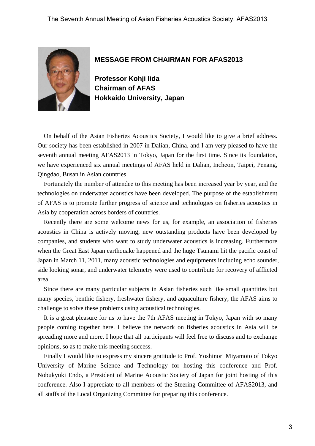

#### **MESSAGE FROM CHAIRMAN FOR AFAS2013**

**Professor Kohji Iida Chairman of AFAS Hokkaido University, Japan** 

On behalf of the Asian Fisheries Acoustics Society, I would like to give a brief address. Our society has been established in 2007 in Dalian, China, and I am very pleased to have the seventh annual meeting AFAS2013 in Tokyo, Japan for the first time. Since its foundation, we have experienced six annual meetings of AFAS held in Dalian, Incheon, Taipei, Penang, Qingdao, Busan in Asian countries.

Fortunately the number of attendee to this meeting has been increased year by year, and the technologies on underwater acoustics have been developed. The purpose of the establishment of AFAS is to promote further progress of science and technologies on fisheries acoustics in Asia by cooperation across borders of countries.

Recently there are some welcome news for us, for example, an association of fisheries acoustics in China is actively moving, new outstanding products have been developed by companies, and students who want to study underwater acoustics is increasing. Furthermore when the Great East Japan earthquake happened and the huge Tsunami hit the pacific coast of Japan in March 11, 2011, many acoustic technologies and equipments including echo sounder, side looking sonar, and underwater telemetry were used to contribute for recovery of afflicted area.

Since there are many particular subjects in Asian fisheries such like small quantities but many species, benthic fishery, freshwater fishery, and aquaculture fishery, the AFAS aims to challenge to solve these problems using acoustical technologies.

It is a great pleasure for us to have the 7th AFAS meeting in Tokyo, Japan with so many people coming together here. I believe the network on fisheries acoustics in Asia will be spreading more and more. I hope that all participants will feel free to discuss and to exchange opinions, so as to make this meeting success.

Finally I would like to express my sincere gratitude to Prof. Yoshinori Miyamoto of Tokyo University of Marine Science and Technology for hosting this conference and Prof. Nobukyuki Endo, a President of Marine Acoustic Society of Japan for joint hosting of this conference. Also I appreciate to all members of the Steering Committee of AFAS2013, and all staffs of the Local Organizing Committee for preparing this conference.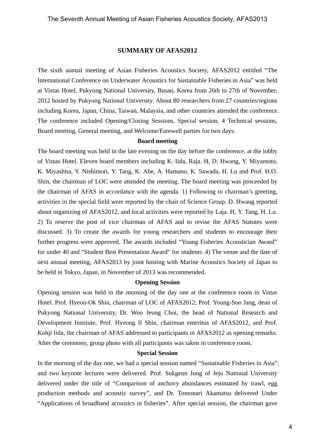#### **SUMMARY OF AFAS2012**

The sixth annual meeting of Asian Fisheries Acoustics Society, AFAS2012 entitled "The International Conference on Underwater Acoustics for Sustainable Fisheries in Asia" was held at Vistas Hotel, Pukyong National University, Busan, Korea from 26th to 27th of November, 2012 hosted by Pukyong National University. About 80 researchers from 27 countries/regions including Korea, Japan, China, Taiwan, Malaysia, and other countries attended the conference. The conference included Opening/Closing Sessions, Special session, 4 Technical sessions, Board meeting, General meeting, and Welcome/Farewell parties for two days.

#### **Board meeting**

The board meeting was held in the late evening on the day before the conference, at the lobby of Vistas Hotel. Eleven board members including K. Iida, Raja. H, D. Hwang, Y. Miyamoto, K. Miyashita, Y. Nishimori, Y. Tang, K. Abe, A. Hamano, K. Sawada, H. Lu and Prof. H.O. Shin, the chairman of LOC were attended the meeting. The board meeting was proceeded by the chairman of AFAS in accordance with the agenda. 1) Following to chairman's greeting, activities in the special field were reported by the chair of Science Group. D. Hwang reported about organizing of AFAS2012, and local activities were reported by Laja. H, Y. Tang, H. Lu. 2) To reserve the post of vice chairman of AFAS and to revise the AFAS Statutes were discussed. 3) To create the awards for young researchers and students to encourage their further progress were approved. The awards included "Young Fisheries Acoustician Award" for under 40 and "Student Best Presentation Award" for students. 4) The venue and the date of next annual meeting, AFAS2013 by joint hosting with Marine Acoustics Society of Japan to be held in Tokyo, Japan, in November of 2013 was recommended.

#### **Opening Session**

Opening session was held in the morning of the day one at the conference room in Vistas Hotel. Prof. Hyeon-Ok Shin, chairman of LOC of AFAS2012, Prof. Young-Soo Jang, dean of Pukyong National University, Dr. Woo Jeung Choi, the head of National Research and Development Institute, Prof. Hyeong Il Shin, chairman emeritus of AFAS2012, and Prof. Kohji Iida, the chairman of AFAS addressed to participants in AFAS2012 as opening remarks. After the ceremony, group photo with all participants was taken in conference room.

#### **Special Session**

In the morning of the day one, we had a special session named "Sustainable Fisheries in Asia", and two keynote lectures were delivered. Prof. Sukgeun Jung of Jeju National University delivered under the title of "Comparison of anchovy abundances estimated by trawl, egg production methods and acoustic survey", and Dr. Tomonari Akamatsu delivered Under "Applications of broadband acoustics in fisheries". After special session, the chairman gave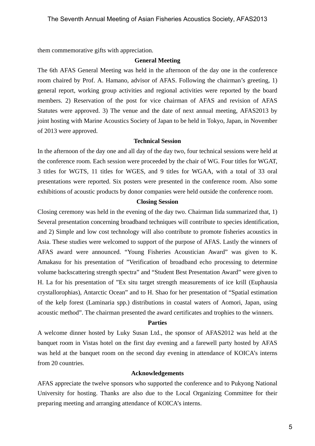them commemorative gifts with appreciation.

#### **General Meeting**

The 6th AFAS General Meeting was held in the afternoon of the day one in the conference room chaired by Prof. A. Hamano, advisor of AFAS. Following the chairman's greeting, 1) general report, working group activities and regional activities were reported by the board members. 2) Reservation of the post for vice chairman of AFAS and revision of AFAS Statutes were approved. 3) The venue and the date of next annual meeting, AFAS2013 by joint hosting with Marine Acoustics Society of Japan to be held in Tokyo, Japan, in November of 2013 were approved.

#### **Technical Session**

In the afternoon of the day one and all day of the day two, four technical sessions were held at the conference room. Each session were proceeded by the chair of WG. Four titles for WGAT, 3 titles for WGTS, 11 titles for WGES, and 9 titles for WGAA, with a total of 33 oral presentations were reported. Six posters were presented in the conference room. Also some exhibitions of acoustic products by donor companies were held outside the conference room.

#### **Closing Session**

Closing ceremony was held in the evening of the day two. Chairman Iida summarized that, 1) Several presentation concerning broadband techniques will contribute to species identification, and 2) Simple and low cost technology will also contribute to promote fisheries acoustics in Asia. These studies were welcomed to support of the purpose of AFAS. Lastly the winners of AFAS award were announced. "Young Fisheries Acoustician Award" was given to K. Amakasu for his presentation of "Verification of broadband echo processing to determine volume backscattering strength spectra" and "Student Best Presentation Award" were given to H. La for his presentation of "Ex situ target strength measurements of ice krill (Euphausia crystallorophias), Antarctic Ocean" and to H. Shao for her presentation of "Spatial estimation of the kelp forest (Laminaria spp.) distributions in coastal waters of Aomori, Japan, using acoustic method". The chairman presented the award certificates and trophies to the winners.

#### **Parties**

A welcome dinner hosted by Luky Susan Ltd., the sponsor of AFAS2012 was held at the banquet room in Vistas hotel on the first day evening and a farewell party hosted by AFAS was held at the banquet room on the second day evening in attendance of KOICA's interns from 20 countries.

#### **Acknowledgements**

AFAS appreciate the twelve sponsors who supported the conference and to Pukyong National University for hosting. Thanks are also due to the Local Organizing Committee for their preparing meeting and arranging attendance of KOICA's interns.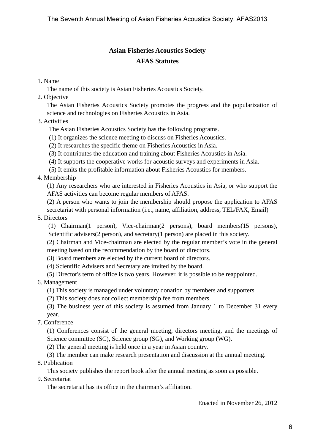## **Asian Fisheries Acoustics Society AFAS Statutes**

### 1. Name

The name of this society is Asian Fisheries Acoustics Society.

2. Objective

The Asian Fisheries Acoustics Society promotes the progress and the popularization of science and technologies on Fisheries Acoustics in Asia.

## 3. Activities

- The Asian Fisheries Acoustics Society has the following programs.
- (1) It organizes the science meeting to discuss on Fisheries Acoustics.
- (2) It researches the specific theme on Fisheries Acoustics in Asia.
- (3) It contributes the education and training about Fisheries Acoustics in Asia.
- (4) It supports the cooperative works for acoustic surveys and experiments in Asia.
- (5) It emits the profitable information about Fisheries Acoustics for members.

## 4. Membership

(1) Any researchers who are interested in Fisheries Acoustics in Asia, or who support the AFAS activities can become regular members of AFAS.

(2) A person who wants to join the membership should propose the application to AFAS secretariat with personal information (i.e., name, affiliation, address, TEL/FAX, Email)

#### 5. Directors

(1) Chairman(1 person), Vice-chairman(2 persons), board members(15 persons), Scientific advisers(2 person), and secretary(1 person) are placed in this society.

(2) Chairman and Vice-chairman are elected by the regular member's vote in the general meeting based on the recommendation by the board of directors.

(3) Board members are elected by the current board of directors.

(4) Scientific Advisers and Secretary are invited by the board.

(5) Director's term of office is two years. However, it is possible to be reappointed.

## 6. Management

(1) This society is managed under voluntary donation by members and supporters.

(2) This society does not collect membership fee from members.

(3) The business year of this society is assumed from January 1 to December 31 every year.

7. Conference

(1) Conferences consist of the general meeting, directors meeting, and the meetings of Science committee (SC), Science group (SG), and Working group (WG).

(2) The general meeting is held once in a year in Asian country.

(3) The member can make research presentation and discussion at the annual meeting. 8. Publication

This society publishes the report book after the annual meeting as soon as possible.

9. Secretariat

The secretariat has its office in the chairman's affiliation.

Enacted in November 26, 2012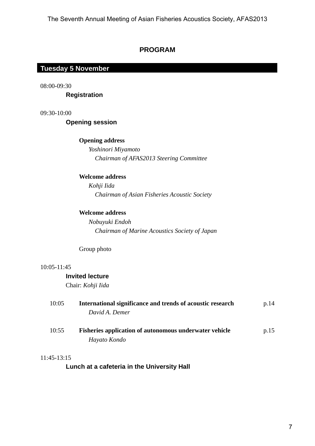## **PROGRAM**

#### **Tuesday 5 November Tuesday 5 November**

08:00-09:30

 **Registration** 

09:30-10:00

 **Opening session** 

#### **Opening address**

 *Yoshinori Miyamoto Chairman of AFAS2013 Steering Committee*

#### **Welcome address**

 *Kohji Iida Chairman of Asian Fisheries Acoustic Society* 

#### **Welcome address**

 *Nobuyuki Endoh Chairman of Marine Acoustics Society of Japan* 

Group photo

#### 10:05-11:45

#### **Invited lecture**

Chair: *Kohji Iida*

| 10:05 | International significance and trends of acoustic research    | p.14 |
|-------|---------------------------------------------------------------|------|
|       | David A. Demer                                                |      |
| 10:55 | <b>Fisheries application of autonomous underwater vehicle</b> | p.15 |
|       | Hayato Kondo                                                  |      |

#### 11:45-13:15

 **Lunch at a cafeteria in the University Hall**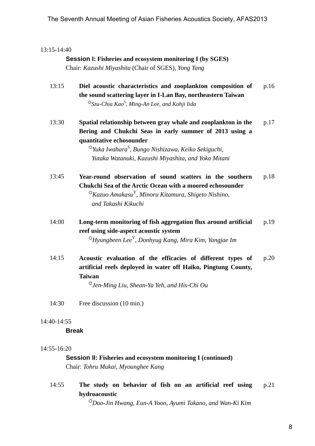#### 13:15-14:40

## **Session I: Fisheries and ecosystem monitoring I (by SGES)**

Chair: *Kazushi Miyashita* (Chair of SGES), *Yong Tang*

- 13:15 **Diel acoustic characteristics and zooplankton composition of the sound scattering layer in I-Lan Bay, northeastern Taiwan**  ○*Szu-Chia Kao*<sup>S</sup> , *Ming-An Lee*, *and Kohji Iida*  p.16
- 13:30 **Spatial relationship between gray whale and zooplankton in the Bering and Chukchi Seas in early summer of 2013 using a quantitative echosounder**  p.17

 ○*Yuka Iwahara*<sup>S</sup> , *Bungo Nishizawa*, *Keiko Sekiguchi*, *Yutaka Watanuki*, *Kazushi Miyashita*, *and Yoko Mitani* 

- 13:45 **Year-round observation of sound scatters in the southern Chukchi Sea of the Arctic Ocean with a moored echosounder**  ○*Kazuo Amakasu*Y, *Minoru Kitamura*, *Shigeto Nishino*, *and Takashi Kikuchi*  p.18
- 14:00 **Long-term monitoring of fish aggregation flux around artificial reef using side-aspect acoustic system**  ○*Hyungbeen Lee*Y, *Donhyug Kang*, *Mira Kim*, *Yangjae Im* p.19
- 14:15 **Acoustic evaluation of the efficacies of different types of artificial reefs deployed in water off Haiko, Pingtung County, Taiwan**  p.20

○*Jen-Ming Liu*, *Shean-Ya Yeh*, *and His-Chi Ou*

14:30 Free discussion (10 min.)

#### 14:40-14:55

#### **Break**

#### 14:55-16:20

### **Session II: Fisheries and ecosystem monitoring I (continued)** Chair: *Tohru Mukai*, *Myounghee Kang*

14:55 **The study on behavior of fish on an artificial reef using hydroacoustic**  p.21

○*Doo-Jin Hwang*, *Eun-A Yoon*, *Ayumi Takano*, *and Wan-Ki Kim*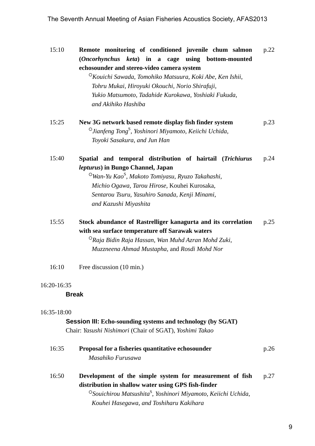The Seventh Annual Meeting of Asian Fisheries Acoustics Society, AFAS2013

15:10 **Remote monitoring of conditioned juvenile chum salmon (***Oncorhynchus keta***) in a cage using bottom-mounted echosounder and stereo-video camera system**  ○*Kouichi Sawada*, *Tomohiko Matsuura*, *Koki Abe*, *Ken Ishii*, *Tohru Mukai*, *Hiroyuki Okouchi*, *Norio Shirafuji*, p.22

 *Yukio Matsumoto*, *Tadahide Kurokawa*, *Yoshiaki Fukuda*, *and Akihiko Hashiba* 

- 15:25 **New 3G network based remote display fish finder system**  ○*Jianfeng Tong*<sup>S</sup> , *Yoshinori Miyamoto*, *Keiichi Uchida*, *Toyoki Sasakura*, *and Jun Han*  p.23
- 15:40 **Spatial and temporal distribution of hairtail (***Trichiurus lepturus***) in Bungo Channel, Japan**  p.24

 ○*Wan-Yu Kao*<sup>S</sup> , *Makoto Tomiyasu*, *Ryuzo Takahashi*, *Michio Ogawa*, *Tarou Hirose*, Kouhei Kurosaka, *Sentarou Tsuru*, *Yasuhiro Sanada*, *Kenji Minami*, *and Kazushi Miyashita* 

15:55 **Stock abundance of Rastrelliger kanagurta and its correlation with sea surface temperature off Sarawak waters**  p.25

 ○*Raja Bidin Raja Hassan*, *Wan Muhd Azran Mohd Zuki*, *Muzzneena Ahmad Mustapha*, and *Rosdi Mohd Nor*

16:10 Free discussion (10 min.)

#### 16:20-16:35

#### **Break**

#### 16:35-18:00

#### **Session III: Echo-sounding systems and technology (by SGAT)**

Chair: *Yasushi Nishimori* (Chair of SGAT), *Yoshimi Takao*

| 16:35 | Proposal for a fisheries quantitative echosounder<br>Masahiko Furusawa                                                                                                                                                                              | p.26 |
|-------|-----------------------------------------------------------------------------------------------------------------------------------------------------------------------------------------------------------------------------------------------------|------|
| 16:50 | Development of the simple system for measurement of fish<br>distribution in shallow water using GPS fish-finder<br><sup>O</sup> Souichirou Matsushita <sup>S</sup> , Yoshinori Miyamoto, Keiichi Uchida,<br>Kouhei Hasegawa, and Toshiharu Kakihara | p.27 |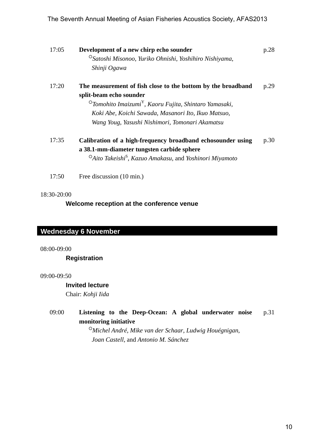|             | The Seventh Annual Meeting of Asian Fisheries Acoustics Society, AFAS2013                                                                                                                                                                                                          |      |    |
|-------------|------------------------------------------------------------------------------------------------------------------------------------------------------------------------------------------------------------------------------------------------------------------------------------|------|----|
| 17:05       | Development of a new chirp echo sounder<br><sup>O</sup> Satoshi Misonoo, Yuriko Ohnishi, Yoshihiro Nishiyama,<br>Shinji Ogawa                                                                                                                                                      | p.28 |    |
| 17:20       | The measurement of fish close to the bottom by the broadband<br>split-beam echo sounder<br>$^{\circ}$ Tomohito Imaizumi $^{\text{Y}}$ , Kaoru Fujita, Shintaro Yamasaki,<br>Koki Abe, Koichi Sawada, Masanori Ito, Ikuo Matsuo,<br>Wang Youg, Yasushi Nishimori, Tomonari Akamatsu | p.29 |    |
| 17:35       | Calibration of a high-frequency broadband echosounder using<br>a 38.1-mm-diameter tungsten carbide sphere<br><sup>O</sup> Aito Takeishi <sup>S</sup> , Kazuo Amakasu, and Yoshinori Miyamoto                                                                                       | p.30 |    |
| 17:50       | Free discussion (10 min.)                                                                                                                                                                                                                                                          |      |    |
| $:00-09:00$ | Welcome reception at the conference venue<br>ednesday 6 November                                                                                                                                                                                                                   |      |    |
|             | <b>Registration</b>                                                                                                                                                                                                                                                                |      |    |
| $:00-09:50$ | <b>Invited lecture</b><br>Chair: Kohji Iida                                                                                                                                                                                                                                        |      |    |
| 09:00       | Listening to the Deep-Ocean: A global underwater noise<br>monitoring initiative<br><sup>O</sup> Michel André, Mike van der Schaar, Ludwig Houégnigan,<br>Joan Castell, and Antonio M. Sánchez                                                                                      | p.31 |    |
|             |                                                                                                                                                                                                                                                                                    |      | 10 |
|             |                                                                                                                                                                                                                                                                                    |      |    |

#### 18:30-20:00

### **Wednesday 6 November Wednesday 6 November**

08:00-09:00

#### **Registration**

#### 09:00-09:50

#### **Invited lecture**

#### 09:00 **Listening to the Deep-Ocean: A global underwater noise monitoring initiative**  p.31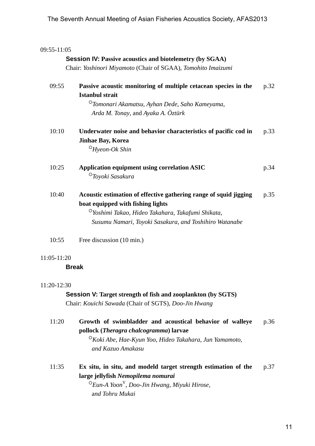| 09:55-11:05 |                                                                                                                                                                                                                                   |      |
|-------------|-----------------------------------------------------------------------------------------------------------------------------------------------------------------------------------------------------------------------------------|------|
|             | <b>Session IV: Passive acoustics and biotelemetry (by SGAA)</b>                                                                                                                                                                   |      |
|             | Chair: Yoshinori Miyamoto (Chair of SGAA), Tomohito Imaizumi                                                                                                                                                                      |      |
| 09:55       | Passive acoustic monitoring of multiple cetacean species in the<br><b>Istanbul strait</b><br><sup>O</sup> Tomonari Akamatsu, Ayhan Dede, Saho Kameyama,<br>Arda M. Tonay, and Ayaka A. Öztürk                                     | p.32 |
| 10:10       | Underwater noise and behavior characteristics of pacific cod in<br><b>Jinhae Bay, Korea</b><br>$O$ Hyeon-Ok Shin                                                                                                                  | p.33 |
| 10:25       | <b>Application equipment using correlation ASIC</b><br><sup>O</sup> Toyoki Sasakura                                                                                                                                               | p.34 |
| 10:40       | Acoustic estimation of effective gathering range of squid jigging<br>boat equipped with fishing lights<br><sup>O</sup> Yoshimi Takao, Hideo Takahara, Takafumi Shikata,<br>Susumu Namari, Toyoki Sasakura, and Toshihiro Watanabe | p.35 |
| 10:55       | Free discussion (10 min.)                                                                                                                                                                                                         |      |
| 11:05-11:20 |                                                                                                                                                                                                                                   |      |
|             | <b>Break</b>                                                                                                                                                                                                                      |      |
| 11:20-12:30 | <b>Session V: Target strength of fish and zooplankton (by SGTS)</b><br>Chair: Kouichi Sawada (Chair of SGTS), Doo-Jin Hwang                                                                                                       |      |
| 11:20       | Growth of swimbladder and acoustical behavior of walleye<br>pollock (Theragra chalcogramma) larvae<br><sup>O</sup> Koki Abe, Hae-Kyun Yoo, Hideo Takahara, Jun Yamamoto,<br>and Kazuo Amakasu                                     | p.36 |
| 11:35       | Ex situ, in situ, and modeld target strength estimation of the<br>large jellyfish Nemopilema nomurai<br>$\mathrm{O}$ Eun-A Yoon <sup>Y</sup> , Doo-Jin Hwang, Miyuki Hirose,<br>and Tohru Mukai                                   | p.37 |

#### 11:05-11:20

#### 11:20-12:30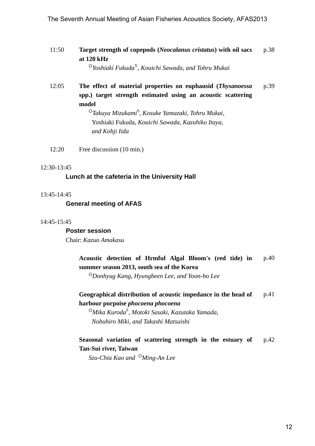11:50 **Target strength of copepods (***Neocalanus cristatus***) with oil sacs at 120 kHz**  p.38

○*Yoshiaki Fukuda*Y, *Kouichi Sawada*, *and Tohru Mukai* 

12:05 **The effect of material properties on euphausid (***Thysanoessa* **spp.) target strength estimated using an acoustic scattering model**  p.39 The Seventh Annual Meeting of Asian Fisheries Acoustics Society, AFAS2013<br>
11:50 Target strength of copepols (Neordanus cristatas) with oil sucs<br>
at 120 kHz<br>
<sup>27</sup>*Nustrick Fisheria<sup>2</sup>, Knaichi Samula, and Thieu Melodi<br>
12* 

 ○*Takuya Mizukami*<sup>S</sup> , *Kosuke Yamazaki*, *Tohru Mukai*, Yoshiaki Fukuda, *Kouichi Sawada*, *Kazuhiko Itaya*, *and Kohji Iida*

12:20 Free discussion (10 min.)

#### 12:30-13:45

#### **Lunch at the cafeteria in the University Hall**

#### 13:45-14:45

 **General meeting of AFAS** 

#### 14:45-15:45

 **Poster session**  Chair: *Kazuo Amakasu*

#### **Acoustic detection of Hrmful Algal Bloom's (red tide) in summer season 2013, south sea of the Korea**  p.40

○*Donhyug Kang*, *Hyungbeen Lee*, *and Yoon-ho Lee* 

**Geographical distribution of acoustic impedance in the head of harbour porpoise** *phocoena phocoena* p.41

 ○*Mika Kuroda*<sup>S</sup> , *Motoki Sasaki*, *Kazutaka Yamada*, *Nobuhiro Miki*, *and Takashi Matsuishi* 

#### **Seasonal variation of scattering strength in the estuary of Tan-Sui river, Taiwan**  p.42

*Szu-Chia Kao and* ○*Ming-An Lee*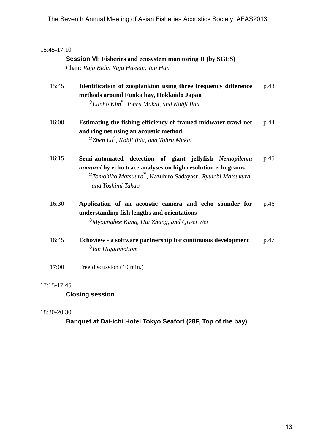## 15:45-17:10

 **Session VI: Fisheries and ecosystem monitoring II (by SGES)** Chair: *Raja Bidin Raja Hassan*, *Jun Han*

| 15:45 | Identification of zooplankton using three frequency difference | p.43 |
|-------|----------------------------------------------------------------|------|
|       | methods around Funka bay, Hokkaido Japan                       |      |
|       | $^\circ$ Eunho Kim $^\circ$ , Tohru Mukai, and Kohji Iida      |      |

- 16:00 **Estimating the fishing efficiency of framed midwater trawl net and ring net using an acoustic method**  ○*Zhen Lu*<sup>S</sup> , *Kohji Iida*, *and Tohru Mukai* p.44
- 16:15 **Semi-automated detection of giant jellyfish** *Nemopilema nomurai* **by echo trace analyses on high resolution echograms**  ○*Tomohiko Matsuura*Y, Kazuhiro Sadayasu, *Ryuichi Matsukura*, *and Yoshimi Takao*  p.45 13 The Seventh Annual Meeting of Asian Fisheries Acoustics Society, AFAS2013<br>
13:51<br>
13:52<br>
13:52<br>
13:52<br>
13:52<br>
13:52<br>
13:52<br>
13:52<br>
13:52<br>
Interlineting of Asian Factor, Joe Hast<br>
13:52<br>
Interlineting of Asian Factor, J
- 16:30 **Application of an acoustic camera and echo sounder for understanding fish lengths and orientations**  ○*Myounghee Kang*, *Hui Zhang*, *and Qiwei Wei* p.46
- 16:45 **Echoview a software partnership for continuous development**  ○*Ian Higginbottom* p.47
- 17:00 Free discussion (10 min.)

#### 17:15-17:45

## **Closing session**

#### 18:30-20:30

 **Banquet at Dai-ichi Hotel Tokyo Seafort (28F, Top of the bay)**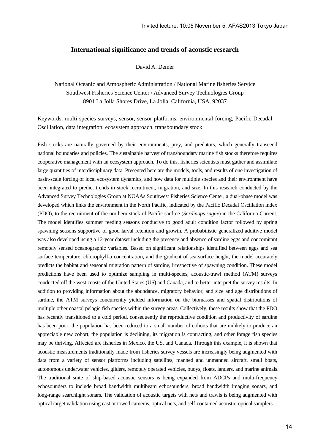#### **International significance and trends of acoustic research**

David A. Demer

National Oceanic and Atmospheric Administration / National Marine fisheries Service Southwest Fisheries Science Center / Advanced Survey Technologies Group 8901 La Jolla Shores Drive, La Jolla, California, USA, 92037

Keywords: multi-species surveys, sensor, sensor platforms, environmental forcing, Pacific Decadal Oscillation, data integration, ecosystem approach, transboundary stock

Fish stocks are naturally governed by their environments, prey, and predators, which generally transcend national boundaries and policies. The sustainable harvest of transboundary marine fish stocks therefore requires cooperative management with an ecosystem approach. To do this, fisheries scientists must gather and assimilate large quantities of interdisciplinary data. Presented here are the models, tools, and results of one investigation of basin-scale forcing of local ecosystem dynamics, and how data for multiple species and their environment have been integrated to predict trends in stock recruitment, migration, and size. In this research conducted by the Advanced Survey Technologies Group at NOAAs Southwest Fisheries Science Center, a dual-phase model was developed which links the environment in the North Pacific, indicated by the Pacific Decadal Oscillation index (PDO), to the recruitment of the northern stock of Pacific sardine (*Sardinops sagax*) in the California Current. The model identifies summer feeding seasons conducive to good adult condition factor followed by spring spawning seasons supportive of good larval retention and growth. A probabilistic generalized additive model was also developed using a 12-year dataset including the presence and absence of sardine eggs and concomitant remotely sensed oceanographic variables. Based on significant relationships identified between eggs and sea surface temperature, chlorophyll-a concentration, and the gradient of sea-surface height, the model accurately predicts the habitat and seasonal migration pattern of sardine, irrespective of spawning condition. These model predictions have been used to optimize sampling in multi-species, acoustic-trawl method (ATM) surveys conducted off the west coasts of the United States (US) and Canada, and to better interpret the survey results. In addition to providing information about the abundance, migratory behavior, and size and age distributions of sardine, the ATM surveys concurrently yielded information on the biomasses and spatial distributions of multiple other coastal pelagic fish species within the survey areas. Collectively, these results show that the PDO has recently transitioned to a cold period, consequently the reproductive condition and productivity of sardine has been poor, the population has been reduced to a small number of cohorts that are unlikely to produce an appreciable new cohort, the population is declining, its migration is contracting, and other forage fish species may be thriving. Affected are fisheries in Mexico, the US, and Canada. Through this example, it is shown that acoustic measurements traditionally made from fisheries survey vessels are increasingly being augmented with data from a variety of sensor platforms including satellites, manned and unmanned aircraft, small boats, autonomous underwater vehicles, gliders, remotely operated vehicles, buoys, floats, landers, and marine animals. The traditional suite of ship-based acoustic sensors is being expanded from ADCPs and multi-frequency echosounders to include broad bandwidth multibeam echosounders, broad bandwidth imaging sonars, and long-range searchlight sonars. The validation of acoustic targets with nets and trawls is being augmented with optical target validation using cast or towed cameras, optical nets, and self-contained acoustic-optical samplers.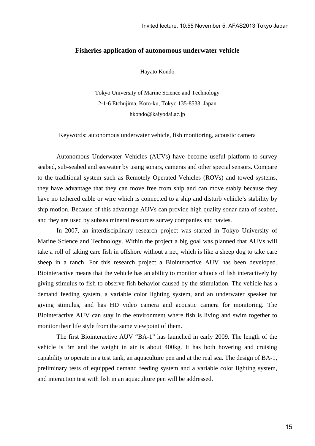#### **Fisheries application of autonomous underwater vehicle**

Hayato Kondo

Tokyo University of Marine Science and Technology 2-1-6 Etchujima, Koto-ku, Tokyo 135-8533, Japan hkondo@kaiyodai.ac.jp

Keywords: autonomous underwater vehicle, fish monitoring, acoustic camera

Autonomous Underwater Vehicles (AUVs) have become useful platform to survey seabed, sub-seabed and seawater by using sonars, cameras and other special sensors. Compare to the traditional system such as Remotely Operated Vehicles (ROVs) and towed systems, they have advantage that they can move free from ship and can move stably because they have no tethered cable or wire which is connected to a ship and disturb vehicle's stability by ship motion. Because of this advantage AUVs can provide high quality sonar data of seabed, and they are used by subsea mineral resources survey companies and navies.

 In 2007, an interdisciplinary research project was started in Tokyo University of Marine Science and Technology. Within the project a big goal was planned that AUVs will take a roll of taking care fish in offshore without a net, which is like a sheep dog to take care sheep in a ranch. For this research project a Biointeractive AUV has been developed. Biointeractive means that the vehicle has an ability to monitor schools of fish interactively by giving stimulus to fish to observe fish behavior caused by the stimulation. The vehicle has a demand feeding system, a variable color lighting system, and an underwater speaker for giving stimulus, and has HD video camera and acoustic camera for monitoring. The Biointeractive AUV can stay in the environment where fish is living and swim together to monitor their life style from the same viewpoint of them.

The first Biointeractive AUV "BA-1" has launched in early 2009. The length of the vehicle is 3m and the weight in air is about 400kg. It has both hovering and cruising capability to operate in a test tank, an aquaculture pen and at the real sea. The design of BA-1, preliminary tests of equipped demand feeding system and a variable color lighting system, and interaction test with fish in an aquaculture pen will be addressed.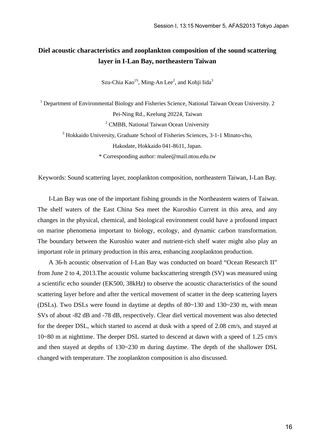## **Diel acoustic characteristics and zooplankton composition of the sound scattering layer in I-Lan Bay, northeastern Taiwan**

Szu-Chia Kao<sup>1S</sup>, Ming-An Lee<sup>2</sup>, and Kohji Iida<sup>3</sup>

<sup>1</sup> Department of Environmental Biology and Fisheries Science, National Taiwan Ocean University. 2

Pei-Ning Rd., Keelung 20224, Taiwan

<sup>2</sup> CMBB, National Taiwan Ocean University

<sup>3</sup> Hokkaido University, Graduate School of Fisheries Sciences, 3-1-1 Minato-cho,

Hakodate, Hokkaido 041-8611, Japan.

\* Corresponding author: malee@mail.ntou.edu.tw

Keywords: Sound scattering layer, zooplankton composition, northeastern Taiwan, I-Lan Bay.

I-Lan Bay was one of the important fishing grounds in the Northeastern waters of Taiwan. The shelf waters of the East China Sea meet the Kuroshio Current in this area, and any changes in the physical, chemical, and biological environment could have a profound impact on marine phenomena important to biology, ecology, and dynamic carbon transformation. The boundary between the Kuroshio water and nutrient-rich shelf water might also play an important role in primary production in this area, enhancing zooplankton production.

A 36-h acoustic observation of I-Lan Bay was conducted on board "Ocean Research II" from June 2 to 4, 2013.The acoustic volume backscattering strength (SV) was measured using a scientific echo sounder (EK500, 38kHz) to observe the acoustic characteristics of the sound scattering layer before and after the vertical movement of scatter in the deep scattering layers (DSLs). Two DSLs were found in daytime at depths of  $80 \sim 130$  and  $130 \sim 230$  m, with mean SVs of about -82 dB and -78 dB, respectively. Clear diel vertical movement was also detected for the deeper DSL, which started to ascend at dusk with a speed of 2.08 cm/s, and stayed at 10~80 m at nighttime. The deeper DSL started to descend at dawn with a speed of 1.25 cm/s and then stayed at depths of 130~230 m during daytime. The depth of the shallower DSL changed with temperature. The zooplankton composition is also discussed.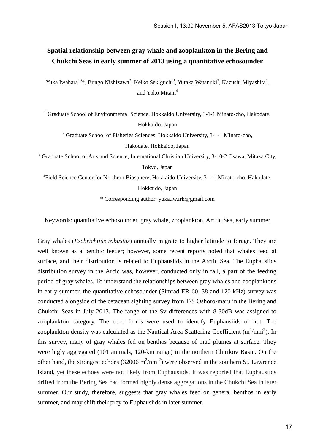## **Spatial relationship between gray whale and zooplankton in the Bering and Chukchi Seas in early summer of 2013 using a quantitative echosounder**

Yuka Iwahara<sup>1S\*</sup>, Bungo Nishizawa<sup>2</sup>, Keiko Sekiguchi<sup>3</sup>, Yutaka Watanuki<sup>2</sup>, Kazushi Miyashita<sup>4</sup>, and Yoko Mitani<sup>4</sup>

<sup>1</sup> Graduate School of Environmental Science, Hokkaido University, 3-1-1 Minato-cho, Hakodate, Hokkaido, Japan

<sup>2</sup> Graduate School of Fisheries Sciences, Hokkaido University, 3-1-1 Minato-cho, Hakodate, Hokkaido, Japan

<sup>3</sup> Graduate School of Arts and Science, International Christian University, 3-10-2 Osawa, Mitaka City, Tokyo, Japan

<sup>4</sup>Field Science Center for Northern Biosphere, Hokkaido University, 3-1-1 Minato-cho, Hakodate,

Hokkaido, Japan

\* Corresponding author: yuka.iw.irk@gmail.com

Keywords: quantitative echosounder, gray whale, zooplankton, Arctic Sea, early summer

Gray whales (*Eschrichtius robustus*) annually migrate to higher latitude to forage. They are well known as a benthic feeder; however, some recent reports noted that whales feed at surface, and their distribution is related to Euphausiids in the Arctic Sea. The Euphausiids distribution survey in the Arcic was, however, conducted only in fall, a part of the feeding period of gray whales. To understand the relationships between gray whales and zooplanktons in early summer, the quantitative echosounder (Simrad ER-60, 38 and 120 kHz) survey was conducted alongside of the cetacean sighting survey from T/S Oshoro-maru in the Bering and Chukchi Seas in July 2013. The range of the Sv differences with 8-30dB was assigned to zooplankton category. The echo forms were used to identify Euphausiids or not. The zooplankton density was calculated as the Nautical Area Scattering Coefficient  $(m^2/nmi^2)$ . In this survey, many of gray whales fed on benthos because of mud plumes at surface. They were higly aggregated (101 animals, 120-km range) in the northern Chirikov Basin. On the other hand, the strongest echoes  $(32006 \text{ m}^2/\text{nmi}^2)$  were observed in the southern St. Lawrence Island, yet these echoes were not likely from Euphausiids. It was reported that Euphausiids drifted from the Bering Sea had formed highly dense aggregations in the Chukchi Sea in later summer. Our study, therefore, suggests that gray whales feed on general benthos in early summer, and may shift their prey to Euphausiids in later summer.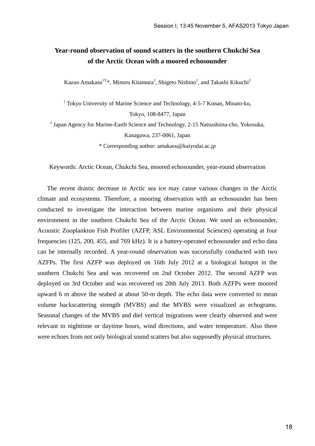## **Year-round observation of sound scatters in the southern Chukchi Sea of the Arctic Ocean with a moored echosounder**

Kazuo Amakasu<sup>1Y</sup>\*, Minoru Kitamura<sup>2</sup>, Shigeto Nishino<sup>2</sup>, and Takashi Kikuchi<sup>2</sup>

<sup>1</sup> Tokyo University of Marine Science and Technology, 4-5-7 Konan, Minato-ku, Tokyo, 108-8477, Japan

 $2$  Japan Agency for Marine-Earth Science and Technology, 2-15 Natsushima-cho, Yokosuka, Kanagawa, 237-0061, Japan

\* Corresponding author: amakasu@kaiyodai.ac.jp

Keywords: Arctic Ocean, Chukchi Sea, moored echosounder, year-round observation

 The recent drastic decrease in Arctic sea ice may cause various changes in the Arctic climate and ecosystems. Therefore, a mooring observation with an echosounder has been conducted to investigate the interaction between marine organisms and their physical environment in the southern Chukchi Sea of the Arctic Ocean. We used an echosounder, Acoustic Zooplankton Fish Profiler (AZFP, ASL Environmental Sciences) operating at four frequencies (125, 200, 455, and 769 kHz). It is a battery-operated echosounder and echo data can be internally recorded. A year-round observation was successfully conducted with two AZFPs. The first AZFP was deployed on 16th July 2012 at a biological hotspot in the southern Chukchi Sea and was recovered on 2nd October 2012. The second AZFP was deployed on 3rd October and was recovered on 20th July 2013. Both AZFPs were moored upward 6 m above the seabed at about 50-m depth. The echo data were converted to mean volume backscattering strength (MVBS) and the MVBS were visualized as echograms. Seasonal changes of the MVBS and diel vertical migrations were clearly observed and were relevant to nighttime or daytime hours, wind directions, and water temperature. Also there were echoes from not only biological sound scatters but also supposedly physical structures.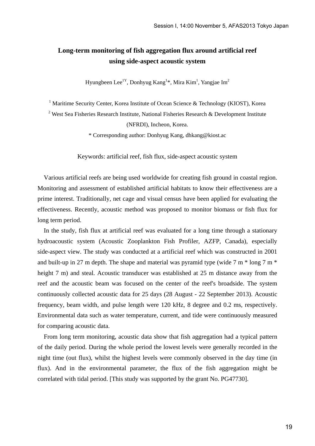## **Long-term monitoring of fish aggregation flux around artificial reef using side-aspect acoustic system**

Hyungbeen Lee<sup>1Y</sup>, Donhyug Kang<sup>1\*</sup>, Mira Kim<sup>1</sup>, Yangjae Im<sup>2</sup>

<sup>1</sup> Maritime Security Center, Korea Institute of Ocean Science & Technology (KIOST), Korea

<sup>2</sup> West Sea Fisheries Research Institute, National Fisheries Research & Development Institute

(NFRDI), Incheon, Korea.

\* Corresponding author: Donhyug Kang, dhkang@kiost.ac

Keywords: artificial reef, fish flux, side-aspect acoustic system

 Various artificial reefs are being used worldwide for creating fish ground in coastal region. Monitoring and assessment of established artificial habitats to know their effectiveness are a prime interest. Traditionally, net cage and visual census have been applied for evaluating the effectiveness. Recently, acoustic method was proposed to monitor biomass or fish flux for long term period.

 In the study, fish flux at artificial reef was evaluated for a long time through a stationary hydroacoustic system (Acoustic Zooplankton Fish Profiler, AZFP, Canada), especially side-aspect view. The study was conducted at a artificial reef which was constructed in 2001 and built-up in 27 m depth. The shape and material was pyramid type (wide  $7 \text{ m} *$  long  $7 \text{ m} *$ height 7 m) and steal. Acoustic transducer was established at 25 m distance away from the reef and the acoustic beam was focused on the center of the reef's broadside. The system continuously collected acoustic data for 25 days (28 August - 22 September 2013). Acoustic frequency, beam width, and pulse length were 120 kHz, 8 degree and 0.2 ms, respectively. Environmental data such as water temperature, current, and tide were continuously measured for comparing acoustic data.

 From long term monitoring, acoustic data show that fish aggregation had a typical pattern of the daily period. During the whole period the lowest levels were generally recorded in the night time (out flux), whilst the highest levels were commonly observed in the day time (in flux). And in the environmental parameter, the flux of the fish aggregation might be correlated with tidal period. [This study was supported by the grant No. PG47730].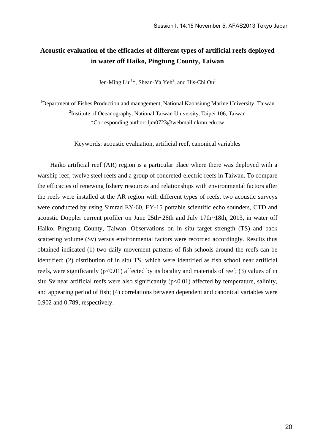## **Acoustic evaluation of the efficacies of different types of artificial reefs deployed in water off Haiko, Pingtung County, Taiwan**

Jen-Ming Liu<sup>1\*</sup>, Shean-Ya Yeh<sup>2</sup>, and His-Chi Ou<sup>1</sup>

<sup>1</sup>Department of Fishes Production and management, National Kaohsiung Marine University, Taiwan <sup>2</sup>Institute of Oceanography, National Taiwan University, Taipei 106, Taiwan \*Corresponding author: ljm0723@webmail.nkmu.edu.tw

Keywords: acoustic evaluation, artificial reef, canonical variables

Haiko artificial reef (AR) region is a particular place where there was deployed with a warship reef, twelve steel reefs and a group of concreted-electric-reefs in Taiwan. To compare the efficacies of renewing fishery resources and relationships with environmental factors after the reefs were installed at the AR region with different types of reefs, two acoustic surveys were conducted by using Simrad EY-60, EY-15 portable scientific echo sounders, CTD and acoustic Doppler current profiler on June 25th~26th and July 17th~18th, 2013, in water off Haiko, Pingtung County, Taiwan. Observations on in situ target strength (TS) and back scattering volume (Sv) versus environmental factors were recorded accordingly. Results thus obtained indicated (1) two daily movement patterns of fish schools around the reefs can be identified; (2) distribution of in situ TS, which were identified as fish school near artificial reefs, were significantly  $(p<0.01)$  affected by its locality and materials of reef; (3) values of in situ Sv near artificial reefs were also significantly  $(p<0.01)$  affected by temperature, salinity, and appearing period of fish; (4) correlations between dependent and canonical variables were 0.902 and 0.789, respectively.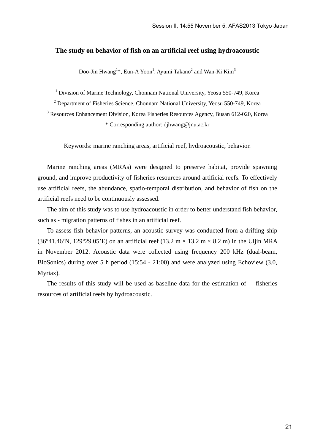#### **The study on behavior of fish on an artificial reef using hydroacoustic**

Doo-Jin Hwang<sup>1</sup>\*, Eun-A Yoon<sup>1</sup>, Ayumi Takano<sup>2</sup> and Wan-Ki Kim<sup>3</sup>

<sup>1</sup> Division of Marine Technology, Chonnam National University, Yeosu 550-749, Korea

<sup>2</sup> Department of Fisheries Science, Chonnam National University, Yeosu 550-749, Korea

<sup>3</sup> Resources Enhancement Division, Korea Fisheries Resources Agency, Busan 612-020, Korea \* Corresponding author: djhwang@jnu.ac.kr

Keywords: marine ranching areas, artificial reef, hydroacoustic, behavior.

Marine ranching areas (MRAs) were designed to preserve habitat, provide spawning ground, and improve productivity of fisheries resources around artificial reefs. To effectively use artificial reefs, the abundance, spatio-temporal distribution, and behavior of fish on the artificial reefs need to be continuously assessed.

The aim of this study was to use hydroacoustic in order to better understand fish behavior, such as - migration patterns of fishes in an artificial reef.

To assess fish behavior patterns, an acoustic survey was conducted from a drifting ship (36°41.46'N, 129°29.05'E) on an artificial reef (13.2 m  $\times$  13.2 m  $\times$  8.2 m) in the Uljin MRA in November 2012. Acoustic data were collected using frequency 200 kHz (dual-beam, BioSonics) during over 5 h period (15:54 - 21:00) and were analyzed using Echoview (3.0, Myriax).

The results of this study will be used as baseline data for the estimation of fisheries resources of artificial reefs by hydroacoustic.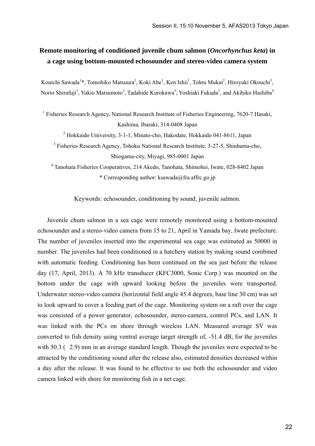## **Remote monitoring of conditioned juvenile chum salmon (***Oncorhynchus keta***) in a cage using bottom-mounted echosounder and stereo-video camera system**

Kouichi Sawada<sup>1</sup>\*, Tomohiko Matsuura<sup>1</sup>, Koki Abe<sup>1</sup>, Ken Ishii<sup>1</sup>, Tohru Mukai<sup>2</sup>, Hiroyuki Okouchi<sup>3</sup>, Norio Shirafuji<sup>3</sup>, Yukio Matsumoto<sup>3</sup>, Tadahide Kurokawa<sup>3</sup>, Yoshiaki Fukuda<sup>1</sup>, and Akihiko Hashiba<sup>4</sup>

<sup>1</sup> Fisheries Research Agency, National Research Institute of Fisheries Engineering, 7620-7 Hasaki, Kashima, Ibaraki, 314-0408 Japan

<sup>2</sup> Hokkaido University, 3-1-1, Minato-cho, Hakodate, Hokkaido 041-8611, Japan

<sup>3</sup> Fisheries Research Agency, Tohoku National Research Institute, 3-27-5, Shinhama-cho, Shiogama-city, Miyagi, 985-0001 Japan

4 Tanohata Fisheries Cooperatives, 214 Akedo, Tanohata, Shimohei, Iwate, 028-8402 Japan \* Corresponding author: ksawada@fra.affrc.go.jp

Keywords: echosounder, conditioning by sound, juvenile salmon.

 Juvenile chum salmon in a sea cage were remotely monitored using a bottom-mounted echosounder and a stereo-video camera from 15 to 21, April in Yamada bay, Iwate prefecture. The number of juveniles inserted into the experimental sea cage was estimated as 50000 in number. The juveniles had been conditioned in a hatchery station by making sound combined with automatic feeding. Conditioning has been continued on the sea just before the release day (17, April, 2013). A 70 kHz transducer (KFC3000, Sonic Corp.) was mounted on the bottom under the cage with upward looking before the juveniles were transported. Underwater stereo-video camera (horizontal field angle 45.4 degrees, base line 30 cm) was set to look upward to cover a feeding part of the cage. Monitoring system on a raft over the cage was consisted of a power generator, echosounder, stereo-camera, control PCs, and LAN. It was linked with the PCs on shore through wireless LAN. Measured average SV was converted to fish density using ventral average target strength of, -51.4 dB, for the juveniles with 50.3 (2.9) mm in an average standard length. Though the juveniles were expected to be attracted by the conditioning sound after the release also, estimated densities decreased within a day after the release. It was found to be effective to use both the echosounder and video camera linked with shore for monitoring fish in a net cage.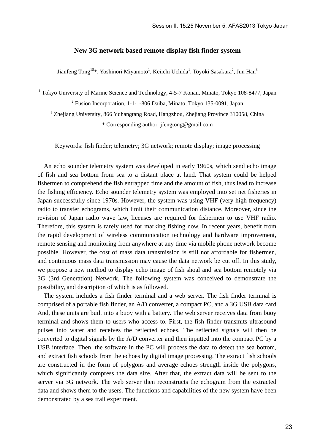#### **New 3G network based remote display fish finder system**

Jianfeng Tong<sup>1S\*</sup>, Yoshinori Miyamoto<sup>1</sup>, Keiichi Uchida<sup>1</sup>, Toyoki Sasakura<sup>2</sup>, Jun Han<sup>3</sup>

<sup>1</sup> Tokyo University of Marine Science and Technology, 4-5-7 Konan, Minato, Tokyo 108-8477, Japan <sup>2</sup> Fusion Incorporation, 1-1-1-806 Daiba, Minato, Tokyo 135-0091, Japan

<sup>3</sup> Zhejiang University, 866 Yuhangtang Road, Hangzhou, Zhejiang Province 310058, China

\* Corresponding author: jfengtong@gmail.com

Keywords: fish finder; telemetry; 3G network; remote display; image processing

An echo sounder telemetry system was developed in early 1960s, which send echo image of fish and sea bottom from sea to a distant place at land. That system could be helped fishermen to comprehend the fish entrapped time and the amount of fish, thus lead to increase the fishing efficiency. Echo sounder telemetry system was employed into set net fisheries in Japan successfully since 1970s. However, the system was using VHF (very high frequency) radio to transfer echograms, which limit their communication distance. Moreover, since the revision of Japan radio wave law, licenses are required for fishermen to use VHF radio. Therefore, this system is rarely used for marking fishing now. In recent years, benefit from the rapid development of wireless communication technology and hardware improvement, remote sensing and monitoring from anywhere at any time via mobile phone network become possible. However, the cost of mass data transmission is still not affordable for fishermen, and continuous mass data transmission may cause the data network be cut off. In this study, we propose a new method to display echo image of fish shoal and sea bottom remotely via 3G (3rd Generation) Network. The following system was conceived to demonstrate the possibility, and description of which is as followed.

The system includes a fish finder terminal and a web server. The fish finder terminal is comprised of a portable fish finder, an A/D converter, a compact PC, and a 3G USB data card. And, these units are built into a buoy with a battery. The web server receives data from buoy terminal and shows them to users who access to. First, the fish finder transmits ultrasound pulses into water and receives the reflected echoes. The reflected signals will then be converted to digital signals by the A/D converter and then inputted into the compact PC by a USB interface. Then, the software in the PC will process the data to detect the sea bottom, and extract fish schools from the echoes by digital image processing. The extract fish schools are constructed in the form of polygons and average echoes strength inside the polygons, which significantly compress the data size. After that, the extract data will be sent to the server via 3G network. The web server then reconstructs the echogram from the extracted data and shows them to the users. The functions and capabilities of the new system have been demonstrated by a sea trail experiment.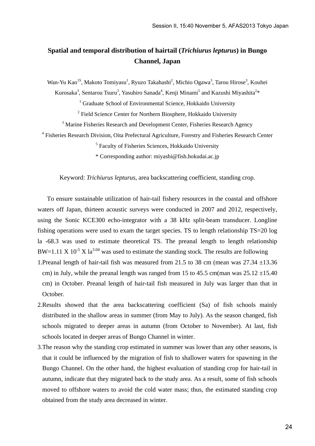## **Spatial and temporal distribution of hairtail (***Trichiurus lepturus***) in Bungo Channel, Japan**

Wan-Yu Kao<sup>1S</sup>, Makoto Tomiyasu<sup>1</sup>, Ryuzo Takahashi<sup>2</sup>, Michio Ogawa<sup>3</sup>, Tarou Hirose<sup>3</sup>, Kouhei

Kurosaka<sup>3</sup>, Sentarou Tsuru<sup>3</sup>, Yasuhiro Sanada<sup>4</sup>, Kenji Minami<sup>5</sup> and Kazushi Miyashita<sup>2</sup>\*

<sup>1</sup> Graduate School of Environmental Science, Hokkaido University

<sup>2</sup> Field Science Center for Northern Biosphere, Hokkaido University

<sup>3</sup> Marine Fisheries Research and Development Center, Fisheries Research Agency

<sup>4</sup> Fisheries Research Division, Oita Prefectural Agriculture, Forestry and Fisheries Research Center

<sup>5</sup> Faculty of Fisheries Sciences, Hokkaido University

\* Corresponding author: miyashi@fish.hokudai.ac.jp

Keyword: *Trichiurus lepturus*, area backscattering coefficient, standing crop.

 To ensure sustainable utilization of hair-tail fishery resources in the coastal and offshore waters off Japan, thirteen acoustic surveys were conducted in 2007 and 2012, respectively, using the Sonic KCE300 echo-integrator with a 38 kHz split-beam transducer. Longline fishing operations were used to exam the target species. TS to length relationship TS=20 log la -68.3 was used to estimate theoretical TS. The preanal length to length relationship  $BW=1.11 \times 10^{-5} \times 1a^{3.04}$  was used to estimate the standing stock. The results are following

- 1. Preanal length of hair-tail fish was measured from 21.5 to 38 cm (mean was  $27.34 \pm 13.36$ ) cm) in July, while the preanal length was ranged from 15 to 45.5 cm(man was  $25.12 \pm 15.40$ cm) in October. Preanal length of hair-tail fish measured in July was larger than that in October.
- 2.Results showed that the area backscattering coefficient (Sa) of fish schools mainly distributed in the shallow areas in summer (from May to July). As the season changed, fish schools migrated to deeper areas in autumn (from October to November). At last, fish schools located in deeper areas of Bungo Channel in winter.
- 3.The reason why the standing crop estimated in summer was lower than any other seasons, is that it could be influenced by the migration of fish to shallower waters for spawning in the Bungo Channel. On the other hand, the highest evaluation of standing crop for hair-tail in autumn, indicate that they migrated back to the study area. As a result, some of fish schools moved to offshore waters to avoid the cold water mass; thus, the estimated standing crop obtained from the study area decreased in winter.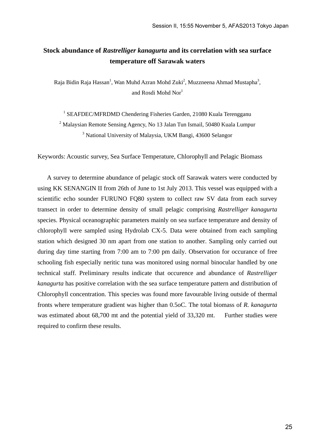## **Stock abundance of** *Rastrelliger kanagurta* **and its correlation with sea surface temperature off Sarawak waters**

Raja Bidin Raja Hassan<sup>1</sup>, Wan Muhd Azran Mohd Zuki<sup>2</sup>, Muzzneena Ahmad Mustapha<sup>3</sup>, and Rosdi Mohd Nor<sup>1</sup>

<sup>1</sup> SEAFDEC/MFRDMD Chendering Fisheries Garden, 21080 Kuala Terengganu <sup>2</sup> Malaysian Remote Sensing Agency, No 13 Jalan Tun Ismail, 50480 Kuala Lumpur <sup>3</sup> National University of Malaysia, UKM Bangi, 43600 Selangor

Keywords: Acoustic survey, Sea Surface Temperature, Chlorophyll and Pelagic Biomass

 A survey to determine abundance of pelagic stock off Sarawak waters were conducted by using KK SENANGIN II from 26th of June to 1st July 2013. This vessel was equipped with a scientific echo sounder FURUNO FQ80 system to collect raw SV data from each survey transect in order to determine density of small pelagic comprising *Rastrelliger kanagurta* species. Physical oceanographic parameters mainly on sea surface temperature and density of chlorophyll were sampled using Hydrolab CX-5. Data were obtained from each sampling station which designed 30 nm apart from one station to another. Sampling only carried out during day time starting from 7:00 am to 7:00 pm daily. Observation for occurance of free schooling fish especially neritic tuna was monitored using normal binocular handled by one technical staff. Preliminary results indicate that occurence and abundance of *Rastrelliger kanagurta* has positive correlation with the sea surface temperature pattern and distribution of Chlorophyll concentration. This species was found more favourable living outside of thermal fronts where temperature gradient was higher than 0.5oC. The total biomass of *R. kanagurta* was estimated about 68,700 mt and the potential yield of 33,320 mt. Further studies were required to confirm these results.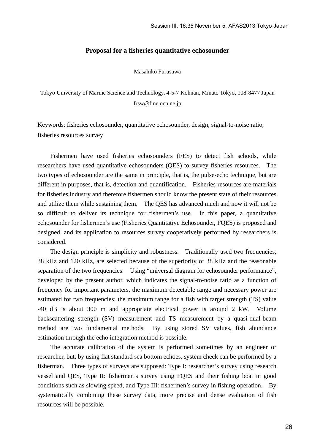#### **Proposal for a fisheries quantitative echosounder**

Masahiko Furusawa

Tokyo University of Marine Science and Technology, 4-5-7 Kohnan, Minato Tokyo, 108-8477 Japan frsw@fine.ocn.ne.jp

Keywords: fisheries echosounder, quantitative echosounder, design, signal-to-noise ratio, fisheries resources survey

Fishermen have used fisheries echosounders (FES) to detect fish schools, while researchers have used quantitative echosounders (QES) to survey fisheries resources. The two types of echosounder are the same in principle, that is, the pulse-echo technique, but are different in purposes, that is, detection and quantification. Fisheries resources are materials for fisheries industry and therefore fishermen should know the present state of their resources and utilize them while sustaining them. The QES has advanced much and now it will not be so difficult to deliver its technique for fishermen's use. In this paper, a quantitative echosounder for fishermen's use (Fisheries Quantitative Echosounder, FQES) is proposed and designed, and its application to resources survey cooperatively performed by researchers is considered.

The design principle is simplicity and robustness. Traditionally used two frequencies, 38 kHz and 120 kHz, are selected because of the superiority of 38 kHz and the reasonable separation of the two frequencies. Using "universal diagram for echosounder performance", developed by the present author, which indicates the signal-to-noise ratio as a function of frequency for important parameters, the maximum detectable range and necessary power are estimated for two frequencies; the maximum range for a fish with target strength (TS) value -40 dB is about 300 m and appropriate electrical power is around 2 kW. Volume backscattering strength (SV) measurement and TS measurement by a quasi-dual-beam method are two fundamental methods. By using stored SV values, fish abundance estimation through the echo integration method is possible.

The accurate calibration of the system is performed sometimes by an engineer or researcher, but, by using flat standard sea bottom echoes, system check can be performed by a fisherman. Three types of surveys are supposed: Type I: researcher's survey using research vessel and QES, Type II: fishermen's survey using FQES and their fishing boat in good conditions such as slowing speed, and Type III: fishermen's survey in fishing operation. By systematically combining these survey data, more precise and dense evaluation of fish resources will be possible.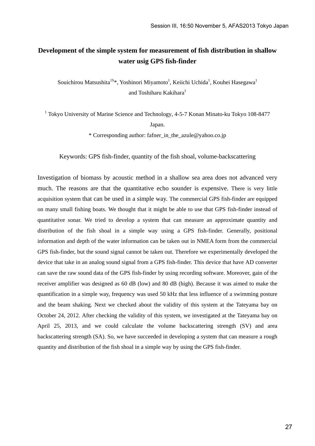## **Development of the simple system for measurement of fish distribution in shallow water usig GPS fish-finder**

Souichirou Matsushita<sup>1S\*</sup>, Yoshinori Miyamoto<sup>1</sup>, Keiichi Uchida<sup>1</sup>, Kouhei Hasegawa<sup>1</sup> and Toshiharu Kakihara<sup>1</sup>

<sup>1</sup> Tokyo University of Marine Science and Technology, 4-5-7 Konan Minato-ku Tokyo 108-8477 Japan.

\* Corresponding author: fafner\_in\_the\_azule@yahoo.co.jp

Keywords: GPS fish-finder, quantity of the fish shoal, volume-backscattering

Investigation of biomass by acoustic method in a shallow sea area does not advanced very much. The reasons are that the quantitative echo sounder is expensive. There is very little acquisition system that can be used in a simple way. The commercial GPS fish-finder are equipped on many small fishing boats. We thought that it might be able to use that GPS fish-finder instead of quantitative sonar. We tried to develop a system that can measure an approximate quantity and distribution of the fish shoal in a simple way using a GPS fish-finder. Generally, positional information and depth of the water information can be taken out in NMEA form from the commercial GPS fish-finder, but the sound signal cannot be taken out. Therefore we experimentally developed the device that take in an analog sound signal from a GPS fish-finder. This device that have AD converter can save the raw sound data of the GPS fish-finder by using recording software. Moreover, gain of the receiver amplifier was designed as 60 dB (low) and 80 dB (high). Because it was aimed to make the quantification in a simple way, frequency was used 50 kHz that less influence of a swimming posture and the beam shaking. Next we checked about the validity of this system at the Tateyama bay on October 24, 2012. After checking the validity of this system, we investigated at the Tateyama bay on April 25, 2013, and we could calculate the volume backscattering strength (SV) and area backscattering strength (SA). So, we have succeeded in developing a system that can measure a rough quantity and distribution of the fish shoal in a simple way by using the GPS fish-finder.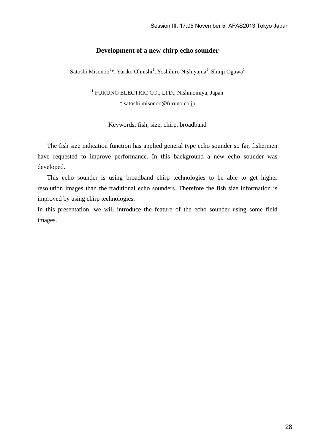#### **Development of a new chirp echo sounder**

Satoshi Misonoo<sup>1\*</sup>, Yuriko Ohnishi<sup>1</sup>, Yoshihiro Nishiyama<sup>1</sup>, Shinji Ogawa<sup>1</sup>

<sup>1</sup> FURUNO ELECTRIC CO., LTD., Nishinomiya, Japan \* satoshi.misonoo@furuno.co.jp

Keywords: fish, size, chirp, broadband

The fish size indication function has applied general type echo sounder so far, fishermen have requested to improve performance. In this background a new echo sounder was developed.

This echo sounder is using broadband chirp technologies to be able to get higher resolution images than the traditional echo sounders. Therefore the fish size information is improved by using chirp technologies.

In this presentation, we will introduce the feature of the echo sounder using some field images.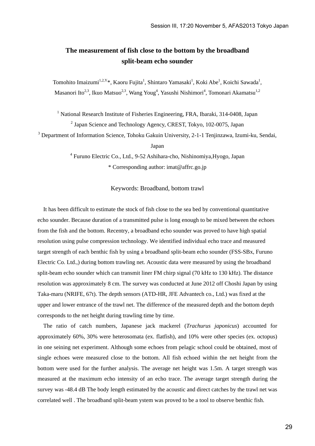## **The measurement of fish close to the bottom by the broadband split-beam echo sounder**

Tomohito Imaizumi<sup>1,2,Y</sup>\*, Kaoru Fujita<sup>1</sup>, Shintaro Yamasaki<sup>1</sup>, Koki Abe<sup>1</sup>, Koichi Sawada<sup>1</sup>, Masanori Ito<sup>2,3</sup>, Ikuo Matsuo<sup>2,3</sup>, Wang Youg<sup>4</sup>, Yasushi Nishimori<sup>4</sup>, Tomonari Akamatsu<sup>1,2</sup>

<sup>1</sup> National Research Institute of Fisheries Engineering, FRA, Ibaraki, 314-0408, Japan <sup>2</sup> Japan Science and Technology Agency, CREST, Tokyo, 102-0075, Japan

<sup>3</sup> Department of Information Science, Tohoku Gakuin University, 2-1-1 Tenjinzawa, Izumi-ku, Sendai,

Japan

4 Furuno Electric Co., Ltd., 9-52 Ashihara-cho, Nishinomiya,Hyogo, Japan \* Corresponding author: imat@affrc.go.jp

Keywords: Broadband, bottom trawl

It has been difficult to estimate the stock of fish close to the sea bed by conventional quantitative echo sounder. Because duration of a transmitted pulse is long enough to be mixed between the echoes from the fish and the bottom. Recentry, a broadband echo sounder was proved to have high spatial resolution using pulse compression technology. We identified individual echo trace and measured target strength of each benthic fish by using a broadband split-beam echo sounder (FSS-SBx, Furuno Electric Co. Ltd.,) during bottom trawling net. Acoustic data were measured by using the broadband split-beam echo sounder which can transmit liner FM chirp signal (70 kHz to 130 kHz). The distance resolution was approximately 8 cm. The survey was conducted at June 2012 off Choshi Japan by using Taka-maru (NRIFE, 67t). The depth sensors (ATD-HR, JFE Advantech co., Ltd.) was fixed at the upper and lower entrance of the trawl net. The difference of the measured depth and the bottom depth corresponds to the net height during trawling time by time.

The ratio of catch numbers, Japanese jack mackerel (*Trachurus japonicus*) accounted for approximately 60%, 30% were heterosomata (ex. flatfish), and 10% were other species (ex. octopus) in one seining net experiment. Although some echoes from pelagic school could be obtained, most of single echoes were measured close to the bottom. All fish echoed within the net height from the bottom were used for the further analysis. The average net height was 1.5m. A target strength was measured at the maximum echo intensity of an echo trace. The average target strength during the survey was -48.4 dB The body length estimated by the acoustic and direct catches by the trawl net was correlated well . The broadband split-beam ystem was proved to be a tool to observe benthic fish.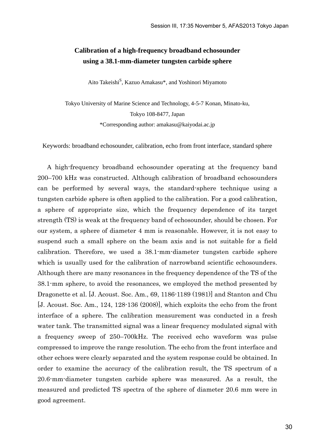## **Calibration of a high-frequency broadband echosounder using a 38.1-mm-diameter tungsten carbide sphere**

Aito Takeishi<sup>S</sup>, Kazuo Amakasu\*, and Yoshinori Miyamoto

Tokyo University of Marine Science and Technology, 4-5-7 Konan, Minato-ku, Tokyo 108-8477, Japan \*Corresponding author: amakasu@kaiyodai.ac.jp

Keywords: broadband echosounder, calibration, echo from front interface, standard sphere

 A high-frequency broadband echosounder operating at the frequency band 200–700 kHz was constructed. Although calibration of broadband echosounders can be performed by several ways, the standard-sphere technique using a tungsten carbide sphere is often applied to the calibration. For a good calibration, a sphere of appropriate size, which the frequency dependence of its target strength (TS) is weak at the frequency band of echosounder, should be chosen. For our system, a sphere of diameter 4 mm is reasonable. However, it is not easy to suspend such a small sphere on the beam axis and is not suitable for a field calibration. Therefore, we used a 38.1-mm-diameter tungsten carbide sphere which is usually used for the calibration of narrowband scientific echosounders. Although there are many resonances in the frequency dependence of the TS of the 38.1-mm sphere, to avoid the resonances, we employed the method presented by Dragonette et al. [J. Acoust. Soc. Am., 69, 1186-1189 (1981)] and Stanton and Chu [J. Acoust. Soc. Am., 124, 128-136 (2008)], which exploits the echo from the front interface of a sphere. The calibration measurement was conducted in a fresh water tank. The transmitted signal was a linear frequency modulated signal with a frequency sweep of 250–700kHz. The received echo waveform was pulse compressed to improve the range resolution. The echo from the front interface and other echoes were clearly separated and the system response could be obtained. In order to examine the accuracy of the calibration result, the TS spectrum of a 20.6-mm-diameter tungsten carbide sphere was measured. As a result, the measured and predicted TS spectra of the sphere of diameter 20.6 mm were in good agreement.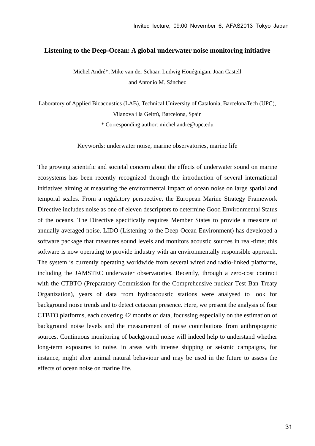#### **Listening to the Deep-Ocean: A global underwater noise monitoring initiative**

Michel André\*, Mike van der Schaar, Ludwig Houégnigan, Joan Castell and Antonio M. Sánchez

Laboratory of Applied Bioacoustics (LAB), Technical University of Catalonia, BarcelonaTech (UPC), Vilanova i la Geltrú, Barcelona, Spain \* Corresponding author: michel.andre@upc.edu

Keywords: underwater noise, marine observatories, marine life

The growing scientific and societal concern about the effects of underwater sound on marine ecosystems has been recently recognized through the introduction of several international initiatives aiming at measuring the environmental impact of ocean noise on large spatial and temporal scales. From a regulatory perspective, the European Marine Strategy Framework Directive includes noise as one of eleven descriptors to determine Good Environmental Status of the oceans. The Directive specifically requires Member States to provide a measure of annually averaged noise. LIDO (Listening to the Deep-Ocean Environment) has developed a software package that measures sound levels and monitors acoustic sources in real-time; this software is now operating to provide industry with an environmentally responsible approach. The system is currently operating worldwide from several wired and radio-linked platforms, including the JAMSTEC underwater observatories. Recently, through a zero-cost contract with the CTBTO (Preparatory Commission for the Comprehensive nuclear-Test Ban Treaty Organization), years of data from hydroacoustic stations were analysed to look for background noise trends and to detect cetacean presence. Here, we present the analysis of four CTBTO platforms, each covering 42 months of data, focussing especially on the estimation of background noise levels and the measurement of noise contributions from anthropogenic sources. Continuous monitoring of background noise will indeed help to understand whether long-term exposures to noise, in areas with intense shipping or seismic campaigns, for instance, might alter animal natural behaviour and may be used in the future to assess the effects of ocean noise on marine life.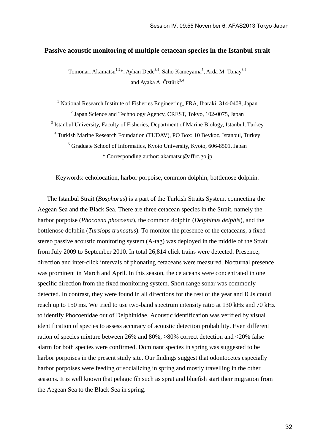#### **Passive acoustic monitoring of multiple cetacean species in the Istanbul strait**

Tomonari Akamatsu<sup>1,2</sup>\*, Ayhan Dede<sup>3,4</sup>, Saho Kameyama<sup>5</sup>, Arda M. Tonay<sup>3,4</sup> and Ayaka A. Öztürk<sup>3,4</sup>

<sup>1</sup> National Research Institute of Fisheries Engineering, FRA, Ibaraki, 314-0408, Japan <sup>2</sup> Japan Science and Technology Agency, CREST, Tokyo, 102-0075, Japan <sup>3</sup> Istanbul University, Faculty of Fisheries, Department of Marine Biology, Istanbul, Turkey <sup>4</sup> Turkish Marine Research Foundation (TUDAV), PO Box: 10 Beykoz, Istanbul, Turkey <sup>5</sup> Graduate School of Informatics, Kyoto University, Kyoto, 606-8501, Japan \* Corresponding author: akamatsu@affrc.go.jp

Keywords: echolocation, harbor porpoise, common dolphin, bottlenose dolphin.

 The Istanbul Strait (*Bosphorus*) is a part of the Turkish Straits System, connecting the Aegean Sea and the Black Sea. There are three cetacean species in the Strait, namely the harbor porpoise (*Phocoena phocoena*), the common dolphin (*Delphinus delphis*), and the bottlenose dolphin (*Tursiops truncatus*). To monitor the presence of the cetaceans, a fixed stereo passive acoustic monitoring system (A-tag) was deployed in the middle of the Strait from July 2009 to September 2010. In total 26,814 click trains were detected. Presence, direction and inter-click intervals of phonating cetaceans were measured. Nocturnal presence was prominent in March and April. In this season, the cetaceans were concentrated in one specific direction from the fixed monitoring system. Short range sonar was commonly detected. In contrast, they were found in all directions for the rest of the year and ICIs could reach up to 150 ms. We tried to use two-band spectrum intensity ratio at 130 kHz and 70 kHz to identify Phocoenidae out of Delphinidae. Acoustic identification was verified by visual identification of species to assess accuracy of acoustic detection probability. Even different ration of species mixture between 26% and 80%, >80% correct detection and <20% false alarm for both species were confirmed. Dominant species in spring was suggested to be harbor porpoises in the present study site. Our findings suggest that odontocetes especially harbor porpoises were feeding or socializing in spring and mostly travelling in the other seasons. It is well known that pelagic fih such as sprat and bluefish start their migration from the Aegean Sea to the Black Sea in spring.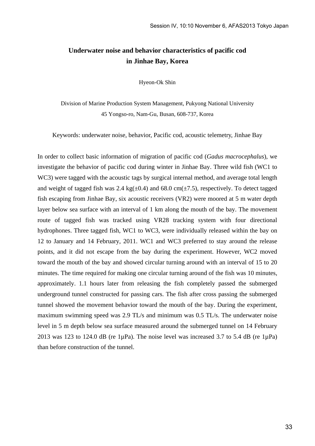## **Underwater noise and behavior characteristics of pacific cod in Jinhae Bay, Korea**

Hyeon-Ok Shin

Division of Marine Production System Management, Pukyong National University 45 Yongso-ro, Nam-Gu, Busan, 608-737, Korea

Keywords: underwater noise, behavior, Pacific cod, acoustic telemetry, Jinhae Bay

In order to collect basic information of migration of pacific cod (*Gadus macrocephalus*), we investigate the behavior of pacific cod during winter in Jinhae Bay. Three wild fish (WC1 to WC3) were tagged with the acoustic tags by surgical internal method, and average total length and weight of tagged fish was 2.4 kg( $\pm$ 0.4) and 68.0 cm( $\pm$ 7.5), respectively. To detect tagged fish escaping from Jinhae Bay, six acoustic receivers (VR2) were moored at 5 m water depth layer below sea surface with an interval of 1 km along the mouth of the bay. The movement route of tagged fish was tracked using VR28 tracking system with four directional hydrophones. Three tagged fish, WC1 to WC3, were individually released within the bay on 12 to January and 14 February, 2011. WC1 and WC3 preferred to stay around the release points, and it did not escape from the bay during the experiment. However, WC2 moved toward the mouth of the bay and showed circular turning around with an interval of 15 to 20 minutes. The time required for making one circular turning around of the fish was 10 minutes, approximately. 1.1 hours later from releasing the fish completely passed the submerged underground tunnel constructed for passing cars. The fish after cross passing the submerged tunnel showed the movement behavior toward the mouth of the bay. During the experiment, maximum swimming speed was 2.9 TL/s and minimum was 0.5 TL/s. The underwater noise level in 5 m depth below sea surface measured around the submerged tunnel on 14 February 2013 was 123 to 124.0 dB (re 1 $\mu$ Pa). The noise level was increased 3.7 to 5.4 dB (re 1 $\mu$ Pa) than before construction of the tunnel.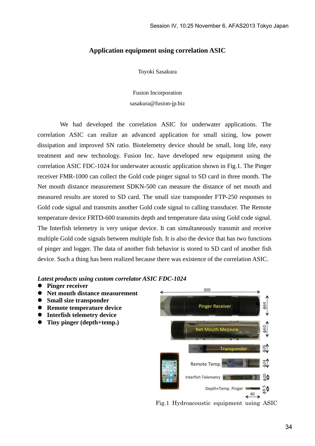#### **Application equipment using correlation ASIC**

Toyoki Sasakura

Fusion Incorporation sasakura@fusion-jp.biz

 We had developed the correlation ASIC for underwater applications. The correlation ASIC can realize an advanced application for small sizing, low power dissipation and improved SN ratio. Biotelemetry device should be small, long life, easy treatment and new technology. Fusion Inc. have developed new equipment using the correlation ASIC FDC-1024 for underwater acoustic application shown in Fig.1. The Pinger receiver FMR-1000 can collect the Gold code pinger signal to SD card in three month. The Net mouth distance measurement SDKN-500 can measure the distance of net mouth and measured results are stored to SD card. The small size transponder FTP-250 responses to Gold code signal and transmits another Gold code signal to calling transducer. The Remote temperature device FRTD-600 transmits depth and temperature data using Gold code signal. The Interfish telemetry is very unique device. It can simultaneously transmit and receive multiple Gold code signals between multiple fish. It is also the device that has two functions of pinger and logger. The data of another fish behavior is stored to SD card of another fish device. Such a thing has been realized because there was existence of the correlation ASIC.

*Latest products using custom correlator ASIC FDC-1024* 

- **Pinger receiver**
- **Net mouth distance measurement**
- $\bullet$  Small size transponder
- **Remote temperature device**
- **Interfish telemetry device**
- **Tiny pinger (depth+temp.)**



Fig.1 Hydroacoustic equipment using ASIC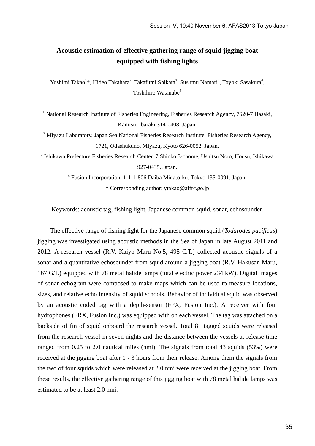## **Acoustic estimation of effective gathering range of squid jigging boat equipped with fishing lights**

Yoshimi Takao<sup>1</sup>\*, Hideo Takahara<sup>2</sup>, Takafumi Shikata<sup>3</sup>, Susumu Namari<sup>4</sup>, Toyoki Sasakura<sup>4</sup>, Toshihiro Watanabe<sup>1</sup>

<sup>1</sup> National Research Institute of Fisheries Engineering, Fisheries Research Agency, 7620-7 Hasaki, Kamisu, Ibaraki 314-0408, Japan.

 $2$  Miyazu Laboratory, Japan Sea National Fisheries Research Institute, Fisheries Research Agency, 1721, Odashukuno, Miyazu, Kyoto 626-0052, Japan.

3 Ishikawa Prefecture Fisheries Research Center, 7 Shinko 3-chome, Ushitsu Noto, Housu, Ishikawa 927-0435, Japan.

> 4 Fusion Incorporation, 1-1-1-806 Daiba Minato-ku, Tokyo 135-0091, Japan. \* Corresponding author: ytakao@affrc.go.jp

Keywords: acoustic tag, fishing light, Japanese common squid, sonar, echosounder.

 The effective range of fishing light for the Japanese common squid (*Todarodes pacificus*) jigging was investigated using acoustic methods in the Sea of Japan in late August 2011 and 2012. A research vessel (R.V. Kaiyo Maru No.5, 495 G.T.) collected acoustic signals of a sonar and a quantitative echosounder from squid around a jigging boat (R.V. Hakusan Maru, 167 G.T.) equipped with 78 metal halide lamps (total electric power 234 kW). Digital images of sonar echogram were composed to make maps which can be used to measure locations, sizes, and relative echo intensity of squid schools. Behavior of individual squid was observed by an acoustic coded tag with a depth-sensor (FPX, Fusion Inc.). A receiver with four hydrophones (FRX, Fusion Inc.) was equipped with on each vessel. The tag was attached on a backside of fin of squid onboard the research vessel. Total 81 tagged squids were released from the research vessel in seven nights and the distance between the vessels at release time ranged from 0.25 to 2.0 nautical miles (nmi). The signals from total 43 squids (53%) were received at the jigging boat after 1 - 3 hours from their release. Among them the signals from the two of four squids which were released at 2.0 nmi were received at the jigging boat. From these results, the effective gathering range of this jigging boat with 78 metal halide lamps was estimated to be at least 2.0 nmi.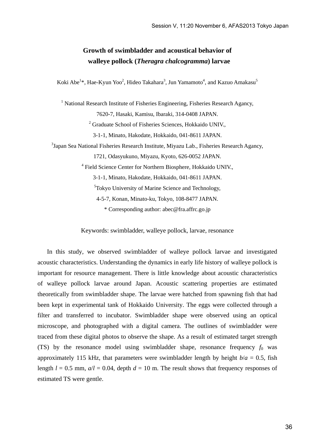## **Growth of swimbladder and acoustical behavior of walleye pollock (***Theragra chalcogramma***) larvae**

Koki Abe<sup>1\*</sup>, Hae-Kyun Yoo<sup>2</sup>, Hideo Takahara<sup>3</sup>, Jun Yamamoto<sup>4</sup>, and Kazuo Amakasu<sup>5</sup>

<sup>1</sup> National Research Institute of Fisheries Engineering, Fisheries Research Agancy, 7620-7, Hasaki, Kamisu, Ibaraki, 314-0408 JAPAN. <sup>2</sup> Graduate School of Fisheries Sciences, Hokkaido UNIV., 3-1-1, Minato, Hakodate, Hokkaido, 041-8611 JAPAN. <sup>3</sup>Japan Sea National Fisheries Research Institute, Miyazu Lab., Fisheries Research Agancy, 1721, Odasyukuno, Miyazu, Kyoto, 626-0052 JAPAN. 4 Field Science Center for Northern Biosphere, Hokkaido UNIV., 3-1-1, Minato, Hakodate, Hokkaido, 041-8611 JAPAN. <sup>5</sup>Tokyo University of Marine Science and Technology, 4-5-7, Konan, Minato-ku, Tokyo, 108-8477 JAPAN.

\* Corresponding author: abec@fra.affrc.go.jp

Keywords: swimbladder, walleye pollock, larvae, resonance

 In this study, we observed swimbladder of walleye pollock larvae and investigated acoustic characteristics. Understanding the dynamics in early life history of walleye pollock is important for resource management. There is little knowledge about acoustic characteristics of walleye pollock larvae around Japan. Acoustic scattering properties are estimated theoretically from swimbladder shape. The larvae were hatched from spawning fish that had been kept in experimental tank of Hokkaido University. The eggs were collected through a filter and transferred to incubator. Swimbladder shape were observed using an optical microscope, and photographed with a digital camera. The outlines of swimbladder were traced from these digital photos to observe the shape. As a result of estimated target strength (TS) by the resonance model using swimbladder shape, resonance frequency  $f_0$  was approximately 115 kHz, that parameters were swimbladder length by height  $b/a = 0.5$ , fish length  $l = 0.5$  mm,  $a/l = 0.04$ , depth  $d = 10$  m. The result shows that frequency responses of estimated TS were gentle.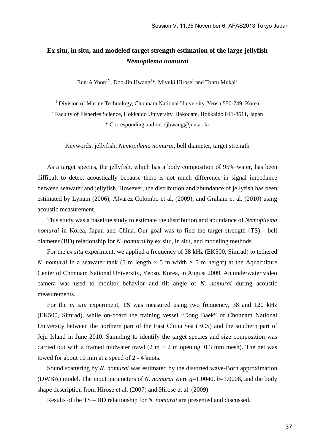## **Ex situ, in situ, and modeled target strength estimation of the large jellyfish**  *Nemopilema nomurai*

Eun-A Yoon<sup>1Y</sup>, Doo-Jin Hwang<sup>1\*</sup>, Miyuki Hirose<sup>1</sup> and Tohru Mukai<sup>2</sup>

<sup>1</sup> Division of Marine Technology, Chonnam National University, Yeosu 550-749, Korea <sup>2</sup> Faculty of Fisheries Science, Hokkaido University, Hakodate, Hokkaido 041-8611, Japan \* Corresponding author: djhwang@jnu.ac.kr

Keywords: jellyfish, *Nemopilema nomurai*, bell diameter, target strength

As a target species, the jellyfish, which has a body composition of 95% water, has been difficult to detect acoustically because there is not much difference in signal impedance between seawater and jellyfish. However, the distribution and abundance of jellyfish has been estimated by Lynam (2006), Alvarez Colombo et al. (2009), and Graham et al. (2010) using acoustic measurement.

 This study was a baseline study to estimate the distribution and abundance of *Nemopilema nomurai* in Korea, Japan and China. Our goal was to find the target strength (TS) - bell diameter (BD) relationship for *N. nomurai* by ex situ, in situ, and modeling methods.

For the *ex situ* experiment, we applied a frequency of 38 kHz (EK500, Simrad) to tethered *N. nomurai* in a seawater tank (5 m length  $\times$  5 m width  $\times$  5 m height) at the Aquaculture Center of Chonnam National University, Yeosu, Korea, in August 2009. An underwater video camera was used to monitor behavior and tilt angle of *N. nomurai* during acoustic measurements.

 For the *in situ* experiment, TS was measured using two frequency, 38 and 120 kHz (EK500, Simrad), while on-board the training vessel "Dong Baek" of Chonnam National University between the northern part of the East China Sea (ECS) and the southern part of Jeju Island in June 2010. Sampling to identify the target species and size composition was carried out with a framed midwater trawl  $(2 \text{ m} \times 2 \text{ m}$  opening, 0.3 mm mesh). The net was towed for about 10 min at a speed of 2 - 4 knots.

 Sound scattering by *N. nomurai* was estimated by the distorted wave-Born approximation (DWBA) model. The input parameters of *N. nomurai* were *g*=1.0040, *h*=1.0008, and the body shape description from Hirose et al. (2007) and Hirose et al. (2009).

Results of the TS – BD relationship for *N. nomurai* are presented and discussed.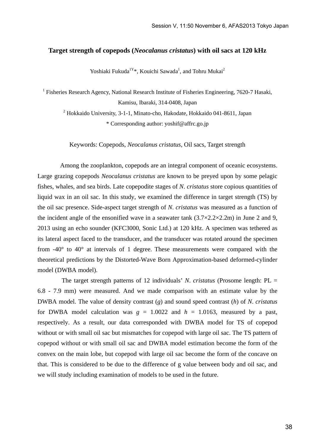#### **Target strength of copepods (***Neocalanus cristatus***) with oil sacs at 120 kHz**

Yoshiaki Fukuda<sup>1Y</sup>\*, Kouichi Sawada<sup>1</sup>, and Tohru Mukai<sup>2</sup>

<sup>1</sup> Fisheries Research Agency, National Research Institute of Fisheries Engineering, 7620-7 Hasaki,

Kamisu, Ibaraki, 314-0408, Japan

<sup>2</sup> Hokkaido University, 3-1-1, Minato-cho, Hakodate, Hokkaido 041-8611, Japan

\* Corresponding author: yoshif@affrc.go.jp

Keywords: Copepods, *Neocalanus cristatus*, Oil sacs, Target strength

 Among the zooplankton, copepods are an integral component of oceanic ecosystems. Large grazing copepods *Neocalanus cristatus* are known to be preyed upon by some pelagic fishes, whales, and sea birds. Late copepodite stages of *N*. *cristatus* store copious quantities of liquid wax in an oil sac. In this study, we examined the difference in target strength (TS) by the oil sac presence. Side-aspect target strength of *N*. *cristatus* was measured as a function of the incident angle of the ensonified wave in a seawater tank  $(3.7 \times 2.2 \times 2.2 \text{m})$  in June 2 and 9, 2013 using an echo sounder (KFC3000, Sonic Ltd.) at 120 kHz. A specimen was tethered as its lateral aspect faced to the transducer, and the transducer was rotated around the specimen from  $-40^{\circ}$  to  $40^{\circ}$  at intervals of 1 degree. These measurements were compared with the theoretical predictions by the Distorted-Wave Born Approximation-based deformed-cylinder model (DWBA model).

 The target strength patterns of 12 individuals' *N*. *cristatus* (Prosome length: PL = 6.8 - 7.9 mm) were measured. And we made comparison with an estimate value by the DWBA model. The value of density contrast (*g*) and sound speed contrast (*h*) of *N*. *cristatus* for DWBA model calculation was  $g = 1.0022$  and  $h = 1.0163$ , measured by a past, respectively. As a result, our data corresponded with DWBA model for TS of copepod without or with small oil sac but mismatches for copepod with large oil sac. The TS pattern of copepod without or with small oil sac and DWBA model estimation become the form of the convex on the main lobe, but copepod with large oil sac become the form of the concave on that. This is considered to be due to the difference of g value between body and oil sac, and we will study including examination of models to be used in the future.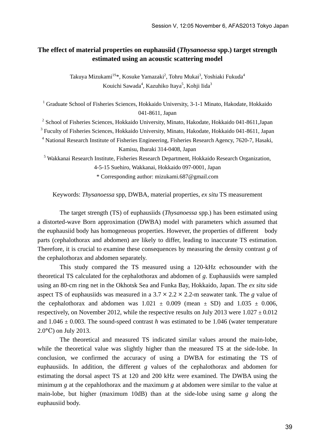## **The effect of material properties on euphausiid (***Thysanoessa* **spp.) target strength estimated using an acoustic scattering model**

Takuya Mizukami $^{1S_{\rm \ast}},$  Kosuke Yamazaki $^2$ , Tohru Mukai $^3$ , Yoshiaki Fukuda $^4$ Kouichi Sawada<sup>4</sup>, Kazuhiko Itaya<sup>5</sup>, Kohji Iida<sup>3</sup>

<sup>1</sup> Graduate School of Fisheries Sciences, Hokkaido University, 3-1-1 Minato, Hakodate, Hokkaido 041-8611, Japan

<sup>2</sup> School of Fisheries Sciences, Hokkaido University, Minato, Hakodate, Hokkaido 041-8611, Japan

<sup>3</sup> Fuculty of Fisheries Sciences, Hokkaido University, Minato, Hakodate, Hokkaido 041-8611, Japan

<sup>4</sup> National Research Institute of Fisheries Engineering, Fisheries Research Agency, 7620-7, Hasaki, Kamisu, Ibaraki 314-0408, Japan

<sup>5</sup> Wakkanai Research Institute, Fisheries Research Department, Hokkaido Research Organization,

4-5-15 Suehiro, Wakkanai, Hokkaido 097-0001, Japan

\* Corresponding author: mizukami.687@gmail.com

Keywords: *Thysanoessa* spp, DWBA, material properties, *ex situ* TS measurement

The target strength (TS) of euphausiids (*Thysanoessa* spp.) has been estimated using a distorted-wave Born approximation (DWBA) model with parameters which assumed that the euphausiid body has homogeneous properties. However, the properties of different body parts (cephalothorax and abdomen) are likely to differ, leading to inaccurate TS estimation. Therefore, it is crucial to examine these consequences by measuring the density contrast *g* of the cephalothorax and abdomen separately.

This study compared the TS measured using a 120-kHz echosounder with the theoretical TS calculated for the cephalothorax and abdomen of *g*. Euphausiids were sampled using an 80-cm ring net in the Okhotsk Sea and Funka Bay, Hokkaido, Japan. The *ex situ* side aspect TS of euphausiids was measured in a  $3.7 \times 2.2 \times 2.2$ -m seawater tank. The *g* value of the cephalothorax and abdomen was  $1.021 \pm 0.009$  (mean  $\pm$  SD) and  $1.035 \pm 0.006$ , respectively, on November 2012, while the respective results on July 2013 were  $1.027 \pm 0.012$ and  $1.046 \pm 0.003$ . The sound-speed contrast *h* was estimated to be 1.046 (water temperature 2.0°C) on July 2013.

The theoretical and measured TS indicated similar values around the main-lobe, while the theoretical value was slightly higher than the measured TS at the side-lobe. In conclusion, we confirmed the accuracy of using a DWBA for estimating the TS of euphausiids. In addition, the different *g* values of the cephalothorax and abdomen for estimating the dorsal aspect TS at 120 and 200 kHz were examined. The DWBA using the minimum *g* at the cepahlothorax and the maximum *g* at abdomen were similar to the value at main-lobe, but higher (maximum 10dB) than at the side-lobe using same *g* along the euphausiid body.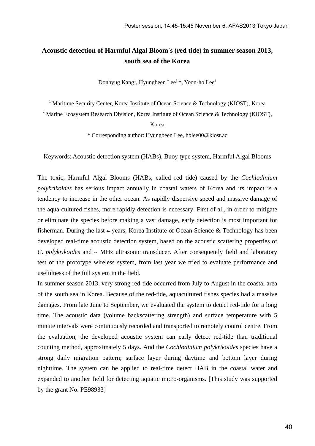## **Acoustic detection of Harmful Algal Bloom's (red tide) in summer season 2013, south sea of the Korea**

Donhyug Kang<sup>1</sup>, Hyungbeen Lee<sup>1,\*</sup>, Yoon-ho Lee<sup>2</sup>

<sup>1</sup> Maritime Security Center, Korea Institute of Ocean Science & Technology (KIOST), Korea

<sup>2</sup> Marine Ecosystem Research Division, Korea Institute of Ocean Science & Technology (KIOST),

Korea

\* Corresponding author: Hyungbeen Lee, hblee00@kiost.ac

Keywords: Acoustic detection system (HABs), Buoy type system, Harmful Algal Blooms

The toxic, Harmful Algal Blooms (HABs, called red tide) caused by the *Cochlodinium polykrikoides* has serious impact annually in coastal waters of Korea and its impact is a tendency to increase in the other ocean. As rapidly dispersive speed and massive damage of the aqua-cultured fishes, more rapidly detection is necessary. First of all, in order to mitigate or eliminate the species before making a vast damage, early detection is most important for fisherman. During the last 4 years, Korea Institute of Ocean Science & Technology has been developed real-time acoustic detection system, based on the acoustic scattering properties of *C*. *polykrikoides* and ∼ MHz ultrasonic transducer. After consequently field and laboratory test of the prototype wireless system, from last year we tried to evaluate performance and usefulness of the full system in the field.

In summer season 2013, very strong red-tide occurred from July to August in the coastal area of the south sea in Korea. Because of the red-tide, aquacultured fishes species had a massive damages. From late June to September, we evaluated the system to detect red-tide for a long time. The acoustic data (volume backscattering strength) and surface temperature with 5 minute intervals were continuously recorded and transported to remotely control centre. From the evaluation, the developed acoustic system can early detect red-tide than traditional counting method, approximately 5 days. And the *Cochlodinium polykrikoides* species have a strong daily migration pattern; surface layer during daytime and bottom layer during nighttime. The system can be applied to real-time detect HAB in the coastal water and expanded to another field for detecting aquatic micro-organisms. [This study was supported by the grant No. PE98933]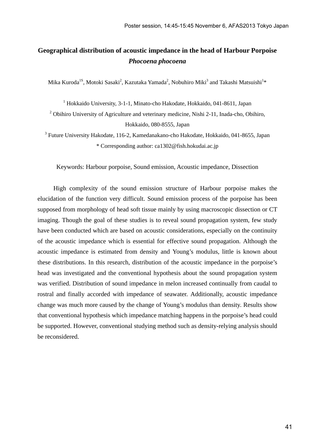## **Geographical distribution of acoustic impedance in the head of Harbour Porpoise**  *Phocoena phocoena*

Mika Kuroda<sup>1S</sup>, Motoki Sasaki<sup>2</sup>, Kazutaka Yamada<sup>2</sup>, Nobuhiro Miki<sup>3</sup> and Takashi Matsuishi<sup>1</sup>\*

<sup>1</sup> Hokkaido University, 3-1-1, Minato-cho Hakodate, Hokkaido, 041-8611, Japan

 $2$  Obihiro University of Agriculture and veterinary medicine, Nishi 2-11, Inada-cho, Obihiro, Hokkaido, 080-8555, Japan

<sup>3</sup> Future University Hakodate, 116-2, Kamedanakano-cho Hakodate, Hokkaido, 041-8655, Japan \* Corresponding author: ca1302@fish.hokudai.ac.jp

Keywords: Harbour porpoise, Sound emission, Acoustic impedance, Dissection

High complexity of the sound emission structure of Harbour porpoise makes the elucidation of the function very difficult. Sound emission process of the porpoise has been supposed from morphology of head soft tissue mainly by using macroscopic dissection or CT imaging. Though the goal of these studies is to reveal sound propagation system, few study have been conducted which are based on acoustic considerations, especially on the continuity of the acoustic impedance which is essential for effective sound propagation. Although the acoustic impedance is estimated from density and Young's modulus, little is known about these distributions. In this research, distribution of the acoustic impedance in the porpoise's head was investigated and the conventional hypothesis about the sound propagation system was verified. Distribution of sound impedance in melon increased continually from caudal to rostral and finally accorded with impedance of seawater. Additionally, acoustic impedance change was much more caused by the change of Young's modulus than density. Results show that conventional hypothesis which impedance matching happens in the porpoise's head could be supported. However, conventional studying method such as density-relying analysis should be reconsidered.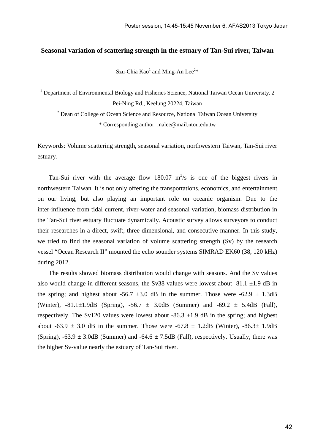#### **Seasonal variation of scattering strength in the estuary of Tan-Sui river, Taiwan**

Szu-Chia  $Kao<sup>1</sup>$  and Ming-An Lee<sup>2\*</sup>

<sup>1</sup> Department of Environmental Biology and Fisheries Science, National Taiwan Ocean University. 2 Pei-Ning Rd., Keelung 20224, Taiwan

<sup>2</sup> Dean of College of Ocean Science and Resource, National Taiwan Ocean University \* Corresponding author: malee@mail.ntou.edu.tw

Keywords: Volume scattering strength, seasonal variation, northwestern Taiwan, Tan-Sui river estuary.

Tan-Sui river with the average flow 180.07  $m^3/s$  is one of the biggest rivers in northwestern Taiwan. It is not only offering the transportations, economics, and entertainment on our living, but also playing an important role on oceanic organism. Due to the inter-influence from tidal current, river-water and seasonal variation, biomass distribution in the Tan-Sui river estuary fluctuate dynamically. Acoustic survey allows surveyors to conduct their researches in a direct, swift, three-dimensional, and consecutive manner. In this study, we tried to find the seasonal variation of volume scattering strength (Sv) by the research vessel "Ocean Research II" mounted the echo sounder systems SIMRAD EK60 (38, 120 kHz) during 2012.

The results showed biomass distribution would change with seasons. And the Sv values also would change in different seasons, the Sv38 values were lowest about  $-81.1 \pm 1.9$  dB in the spring; and highest about -56.7  $\pm 3.0$  dB in the summer. Those were -62.9  $\pm$  1.3dB (Winter),  $-81.1 \pm 1.9$ dB (Spring),  $-56.7 \pm 3.0$ dB (Summer) and  $-69.2 \pm 5.4$ dB (Fall), respectively. The Sv120 values were lowest about -86.3  $\pm$ 1.9 dB in the spring; and highest about  $-63.9 \pm 3.0$  dB in the summer. Those were  $-67.8 \pm 1.2$ dB (Winter),  $-86.3 \pm 1.9$ dB (Spring),  $-63.9 \pm 3.0$ dB (Summer) and  $-64.6 \pm 7.5$ dB (Fall), respectively. Usually, there was the higher Sv-value nearly the estuary of Tan-Sui river.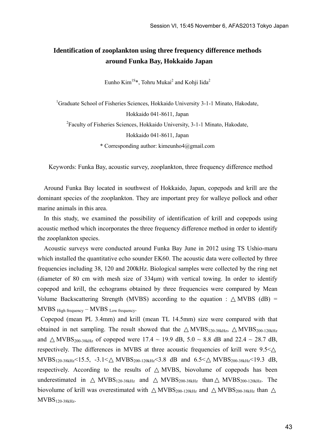## **Identification of zooplankton using three frequency difference methods around Funka Bay, Hokkaido Japan**

Eunho Kim<sup>1S\*</sup>, Tohru Mukai<sup>2</sup> and Kohji Iida<sup>2</sup>

<sup>1</sup>Graduate School of Fisheries Sciences, Hokkaido University 3-1-1 Minato, Hakodate,

Hokkaido 041-8611, Japan

<sup>2</sup> Faculty of Fisheries Sciences, Hokkaido University, 3-1-1 Minato, Hakodate,

Hokkaido 041-8611, Japan

\* Corresponding author: kimeunho4@gmail.com

Keywords: Funka Bay, acoustic survey, zooplankton, three frequency difference method

Around Funka Bay located in southwest of Hokkaido, Japan, copepods and krill are the dominant species of the zooplankton. They are important prey for walleye pollock and other marine animals in this area.

In this study, we examined the possibility of identification of krill and copepods using acoustic method which incorporates the three frequency difference method in order to identify the zooplankton species.

Acoustic surveys were conducted around Funka Bay June in 2012 using TS Ushio-maru which installed the quantitative echo sounder EK60. The acoustic data were collected by three frequencies including 38, 120 and 200kHz. Biological samples were collected by the ring net (diameter of 80 cm with mesh size of 334μm) with vertical towing. In order to identify copepod and krill, the echograms obtained by three frequencies were compared by Mean Volume Backscattering Strength (MVBS) according to the equation : MVBS  $(dB)$  = MVBS High frequency – MVBS Low frequency.

Copepod (mean PL 3.4mm) and krill (mean TL 14.5mm) size were compared with that obtained in net sampling. The result showed that the  $MVBS_{120-38kHz}$ ,  $MVBS_{200-120kHz}$ and MVBS<sub>200-38kHz</sub> of copepod were 17.4 ~ 19.9 dB, 5.0 ~ 8.8 dB and 22.4 ~ 28.7 dB, respectively. The differences in MVBS at three acoustic frequencies of krill were 9.5< MVBS120-38kHz<15.5, -3.1< MVBS200-120kHz<3.8 dB and 6.5< MVBS200-38kHz<19.3 dB, respectively. According to the results of MVBS, biovolume of copepods has been underestimated in MVBS120-38kHz and MVBS200-38kHz than MVBS200-120kHz. The biovolume of krill was overestimated with  $MVBS_{200-120kHz}$  and  $MVBS_{200-38kHz}$  than MVBS120-38kHz.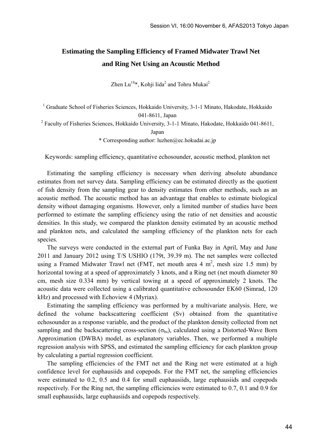## **Estimating the Sampling Efficiency of Framed Midwater Trawl Net and Ring Net Using an Acoustic Method**

Zhen Lu<sup>1S\*</sup>, Kohji Iida<sup>2</sup> and Tohru Mukai<sup>2</sup>

<sup>1</sup> Graduate School of Fisheries Sciences, Hokkaido University, 3-1-1 Minato, Hakodate, Hokkaido 041-8611, Japan

<sup>2</sup> Faculty of Fisheries Sciences, Hokkaido University, 3-1-1 Minato, Hakodate, Hokkaido 041-8611,

Japan

\* Corresponding author: luzhen@ec.hokudai.ac.jp

Keywords: sampling efficiency, quantitative echosounder, acoustic method, plankton net

Estimating the sampling efficiency is necessary when deriving absolute abundance estimates from net survey data. Sampling efficiency can be estimated directly as the quotient of fish density from the sampling gear to density estimates from other methods, such as an acoustic method. The acoustic method has an advantage that enables to estimate biological density without damaging organisms. However, only a limited number of studies have been performed to estimate the sampling efficiency using the ratio of net densities and acoustic densities. In this study, we compared the plankton density estimated by an acoustic method and plankton nets, and calculated the sampling efficiency of the plankton nets for each species.

The surveys were conducted in the external part of Funka Bay in April, May and June 2011 and January 2012 using T/S USHIO (179t, 39.39 m). The net samples were collected using a Framed Midwater Trawl net (FMT, net mouth area 4  $m^2$ , mesh size 1.5 mm) by horizontal towing at a speed of approximately 3 knots, and a Ring net (net mouth diameter 80) cm, mesh size 0.334 mm) by vertical towing at a speed of approximately 2 knots. The acoustic data were collected using a calibrated quantitative echosounder EK60 (Simrad, 120 kHz) and processed with Echoview 4 (Myriax).

Estimating the sampling efficiency was performed by a multivariate analysis. Here, we defined the volume backscattering coefficient (Sv) obtained from the quantitative echosounder as a response variable, and the product of the plankton density collected from net sampling and the backscattering cross-section  $(\sigma_{bs})$ , calculated using a Distorted-Wave Born Approximation (DWBA) model, as explanatory variables. Then, we performed a multiple regression analysis with SPSS, and estimated the sampling efficiency for each plankton group by calculating a partial regression coefficient.

The sampling efficiencies of the FMT net and the Ring net were estimated at a high confidence level for euphausiids and copepods. For the FMT net, the sampling efficiencies were estimated to 0.2, 0.5 and 0.4 for small euphausiids, large euphausiids and copepods respectively. For the Ring net, the sampling efficiencies were estimated to 0.7, 0.1 and 0.9 for small euphausiids, large euphausiids and copepods respectively.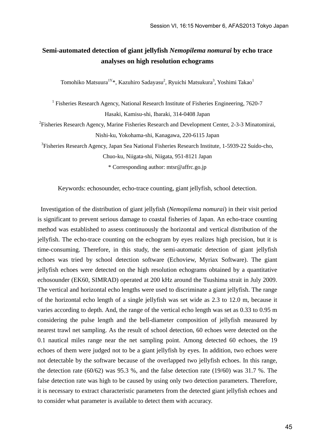## **Semi-automated detection of giant jellyfish** *Nemopilema nomurai* **by echo trace analyses on high resolution echograms**

Tomohiko Matsuura<sup>1Y</sup>\*, Kazuhiro Sadayasu<sup>2</sup>, Ryuichi Matsukura<sup>3</sup>, Yoshimi Takao<sup>1</sup>

<sup>1</sup> Fisheries Research Agency, National Research Institute of Fisheries Engineering, 7620-7 Hasaki, Kamisu-shi, Ibaraki, 314-0408 Japan

<sup>2</sup> Fisheries Research Agency, Marine Fisheries Research and Development Center, 2-3-3 Minatomirai, Nishi-ku, Yokohama-shi, Kanagawa, 220-6115 Japan

<sup>3</sup>Fisheries Research Agency, Japan Sea National Fisheries Research Institute, 1-5939-22 Suido-cho, Chuo-ku, Niigata-shi, Niigata, 951-8121 Japan

\* Corresponding author: mtsr@affrc.go.jp

Keywords: echosounder, echo-trace counting, giant jellyfish, school detection.

Investigation of the distribution of giant jellyfish (*Nemopilema nomurai*) in their visit period is significant to prevent serious damage to coastal fisheries of Japan. An echo-trace counting method was established to assess continuously the horizontal and vertical distribution of the jellyfish. The echo-trace counting on the echogram by eyes realizes high precision, but it is time-consuming. Therefore, in this study, the semi-automatic detection of giant jellyfish echoes was tried by school detection software (Echoview, Myriax Software). The giant jellyfish echoes were detected on the high resolution echograms obtained by a quantitative echosounder (EK60, SIMRAD) operated at 200 kHz around the Tsushima strait in July 2009. The vertical and horizontal echo lengths were used to discriminate a giant jellyfish. The range of the horizontal echo length of a single jellyfish was set wide as 2.3 to 12.0 m, because it varies according to depth. And, the range of the vertical echo length was set as 0.33 to 0.95 m considering the pulse length and the bell-diameter composition of jellyfish measured by nearest trawl net sampling. As the result of school detection, 60 echoes were detected on the 0.1 nautical miles range near the net sampling point. Among detected 60 echoes, the 19 echoes of them were judged not to be a giant jellyfish by eyes. In addition, two echoes were not detectable by the software because of the overlapped two jellyfish echoes. In this range, the detection rate (60/62) was 95.3 %, and the false detection rate (19/60) was 31.7 %. The false detection rate was high to be caused by using only two detection parameters. Therefore, it is necessary to extract characteristic parameters from the detected giant jellyfish echoes and to consider what parameter is available to detect them with accuracy.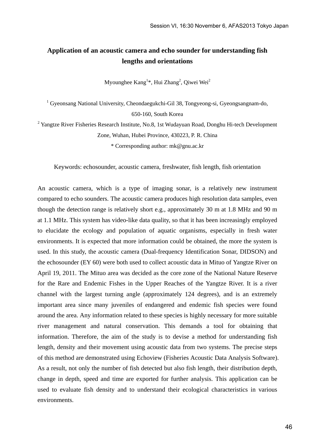## **Application of an acoustic camera and echo sounder for understanding fish lengths and orientations**

Myounghee  $\text{Kang}^{1*}$ , Hui Zhang<sup>2</sup>, Qiwei Wei<sup>2</sup>

<sup>1</sup> Gyeonsang National University, Cheondaegukchi-Gil 38, Tongyeong-si, Gyeongsangnam-do, 650-160, South Korea

<sup>2</sup> Yangtze River Fisheries Research Institute, No.8, 1st Wudayuan Road, Donghu Hi-tech Development Zone, Wuhan, Hubei Province, 430223, P. R. China \* Corresponding author: mk@gnu.ac.kr

Keywords: echosounder, acoustic camera, freshwater, fish length, fish orientation

An acoustic camera, which is a type of imaging sonar, is a relatively new instrument compared to echo sounders. The acoustic camera produces high resolution data samples, even though the detection range is relatively short e.g., approximately 30 m at 1.8 MHz and 90 m at 1.1 MHz. This system has video-like data quality, so that it has been increasingly employed to elucidate the ecology and population of aquatic organisms, especially in fresh water environments. It is expected that more information could be obtained, the more the system is used. In this study, the acoustic camera (Dual-frequency Identification Sonar, DIDSON) and the echosounder (EY 60) were both used to collect acoustic data in Mituo of Yangtze River on April 19, 2011. The Mituo area was decided as the core zone of the National Nature Reserve for the Rare and Endemic Fishes in the Upper Reaches of the Yangtze River. It is a river channel with the largest turning angle (approximately 124 degrees), and is an extremely important area since many juveniles of endangered and endemic fish species were found around the area. Any information related to these species is highly necessary for more suitable river management and natural conservation. This demands a tool for obtaining that information. Therefore, the aim of the study is to devise a method for understanding fish length, density and their movement using acoustic data from two systems. The precise steps of this method are demonstrated using Echoview (Fisheries Acoustic Data Analysis Software). As a result, not only the number of fish detected but also fish length, their distribution depth, change in depth, speed and time are exported for further analysis. This application can be used to evaluate fish density and to understand their ecological characteristics in various environments.